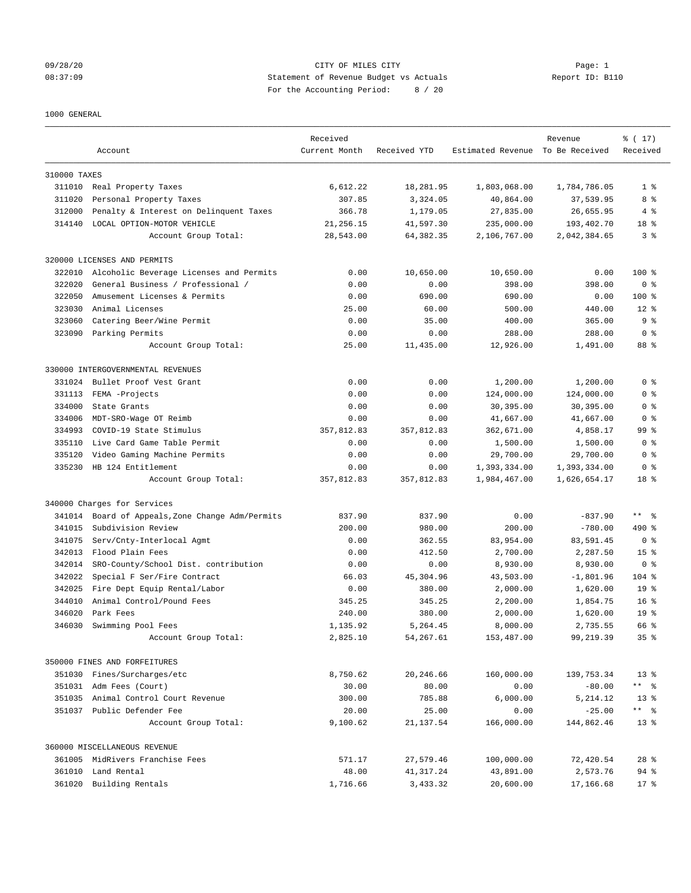## 09/28/20 Page: 1 CITY OF MILES CITY CONTROL CITY PAGE: 1 08:37:09 Statement of Revenue Budget vs Actuals Report ID: B110 For the Accounting Period: 8 / 20

#### 1000 GENERAL

|              | Account                                   | Received<br>Current Month | Received YTD | Estimated Revenue To Be Received | Revenue      | % (17)<br>Received |
|--------------|-------------------------------------------|---------------------------|--------------|----------------------------------|--------------|--------------------|
| 310000 TAXES |                                           |                           |              |                                  |              |                    |
|              | 311010 Real Property Taxes                | 6,612.22                  | 18,281.95    | 1,803,068.00                     | 1,784,786.05 | 1 <sup>8</sup>     |
| 311020       | Personal Property Taxes                   | 307.85                    | 3,324.05     | 40,864.00                        | 37,539.95    | 8 %                |
| 312000       | Penalty & Interest on Delinquent Taxes    | 366.78                    | 1,179.05     | 27,835.00                        | 26,655.95    | 4%                 |
| 314140       | LOCAL OPTION-MOTOR VEHICLE                | 21, 256.15                | 41,597.30    | 235,000.00                       | 193,402.70   | 18 %               |
|              | Account Group Total:                      | 28,543.00                 | 64,382.35    | 2,106,767.00                     | 2,042,384.65 | 3 <sup>8</sup>     |
|              | 320000 LICENSES AND PERMITS               |                           |              |                                  |              |                    |
| 322010       | Alcoholic Beverage Licenses and Permits   | 0.00                      | 10,650.00    | 10,650.00                        | 0.00         | $100$ %            |
| 322020       | General Business / Professional /         | 0.00                      | 0.00         | 398.00                           | 398.00       | 0 <sup>8</sup>     |
| 322050       | Amusement Licenses & Permits              | 0.00                      | 690.00       | 690.00                           | 0.00         | 100 %              |
| 323030       | Animal Licenses                           | 25.00                     | 60.00        | 500.00                           | 440.00       | $12*$              |
| 323060       | Catering Beer/Wine Permit                 | 0.00                      | 35.00        | 400.00                           | 365.00       | 9 <sup>8</sup>     |
| 323090       | Parking Permits                           | 0.00                      | 0.00         | 288.00                           | 288.00       | 0 <sup>8</sup>     |
|              | Account Group Total:                      | 25.00                     | 11,435.00    | 12,926.00                        | 1,491.00     | 88 %               |
|              | 330000 INTERGOVERNMENTAL REVENUES         |                           |              |                                  |              |                    |
| 331024       | Bullet Proof Vest Grant                   | 0.00                      | 0.00         | 1,200.00                         | 1,200.00     | 0 <sup>8</sup>     |
| 331113       | FEMA -Projects                            | 0.00                      | 0.00         | 124,000.00                       | 124,000.00   | 0 <sup>8</sup>     |
| 334000       | State Grants                              | 0.00                      | 0.00         | 30,395.00                        | 30,395.00    | 0 <sup>8</sup>     |
| 334006       | MDT-SRO-Wage OT Reimb                     | 0.00                      | 0.00         | 41,667.00                        | 41,667.00    | 0 <sup>8</sup>     |
| 334993       | COVID-19 State Stimulus                   | 357,812.83                | 357,812.83   | 362,671.00                       | 4,858.17     | 99 %               |
| 335110       | Live Card Game Table Permit               | 0.00                      | 0.00         | 1,500.00                         | 1,500.00     | 0 <sup>8</sup>     |
| 335120       | Video Gaming Machine Permits              | 0.00                      | 0.00         | 29,700.00                        | 29,700.00    | 0 <sup>8</sup>     |
| 335230       | HB 124 Entitlement                        | 0.00                      | 0.00         | 1,393,334.00                     | 1,393,334.00 | 0 <sup>8</sup>     |
|              | Account Group Total:                      | 357,812.83                | 357,812.83   | 1,984,467.00                     | 1,626,654.17 | 18 %               |
|              | 340000 Charges for Services               |                           |              |                                  |              |                    |
| 341014       | Board of Appeals, Zone Change Adm/Permits | 837.90                    | 837.90       | 0.00                             | $-837.90$    | $***$ $ -$         |
| 341015       | Subdivision Review                        | 200.00                    | 980.00       | 200.00                           | $-780.00$    | 490 %              |
| 341075       | Serv/Cnty-Interlocal Agmt                 | 0.00                      | 362.55       | 83,954.00                        | 83,591.45    | 0 <sup>8</sup>     |
| 342013       | Flood Plain Fees                          | 0.00                      | 412.50       | 2,700.00                         | 2,287.50     | 15 <sup>8</sup>    |
| 342014       | SRO-County/School Dist. contribution      | 0.00                      | 0.00         | 8,930.00                         | 8,930.00     | 0 <sup>8</sup>     |
| 342022       | Special F Ser/Fire Contract               | 66.03                     | 45,304.96    | 43,503.00                        | $-1,801.96$  | 104 %              |
| 342025       | Fire Dept Equip Rental/Labor              | 0.00                      | 380.00       | 2,000.00                         | 1,620.00     | 19 <sup>°</sup>    |
| 344010       | Animal Control/Pound Fees                 | 345.25                    | 345.25       | 2,200.00                         | 1,854.75     | 16 <sup>8</sup>    |
| 346020       | Park Fees                                 | 240.00                    | 380.00       | 2,000.00                         | 1,620.00     | 19 <sup>8</sup>    |
| 346030       | Swimming Pool Fees                        | 1,135.92                  | 5,264.45     | 8,000.00                         | 2,735.55     | 66 %               |
|              | Account Group Total:                      | 2,825.10                  | 54,267.61    | 153,487.00                       | 99,219.39    | 35 <sup>8</sup>    |
|              | 350000 FINES AND FORFEITURES              |                           |              |                                  |              |                    |
|              | 351030 Fines/Surcharges/etc               | 8,750.62                  | 20,246.66    | 160,000.00                       | 139,753.34   | $13*$              |
|              | 351031 Adm Fees (Court)                   | 30.00                     | 80.00        | 0.00                             | $-80.00$     | ** %               |
|              | 351035 Animal Control Court Revenue       | 300.00                    | 785.88       | 6,000.00                         | 5, 214.12    | $13*$              |
|              | 351037 Public Defender Fee                | 20.00                     | 25.00        | 0.00                             | $-25.00$     |                    |
|              | Account Group Total:                      | 9,100.62                  | 21,137.54    | 166,000.00                       | 144,862.46   | $13*$              |
|              | 360000 MISCELLANEOUS REVENUE              |                           |              |                                  |              |                    |
|              | 361005 MidRivers Franchise Fees           | 571.17                    | 27,579.46    | 100,000.00                       | 72,420.54    | $28$ %             |
|              | 361010 Land Rental                        | 48.00                     | 41,317.24    | 43,891.00                        | 2,573.76     | 94 %               |
|              | 361020 Building Rentals                   | 1,716.66                  | 3,433.32     | 20,600.00                        | 17,166.68    | $17*$              |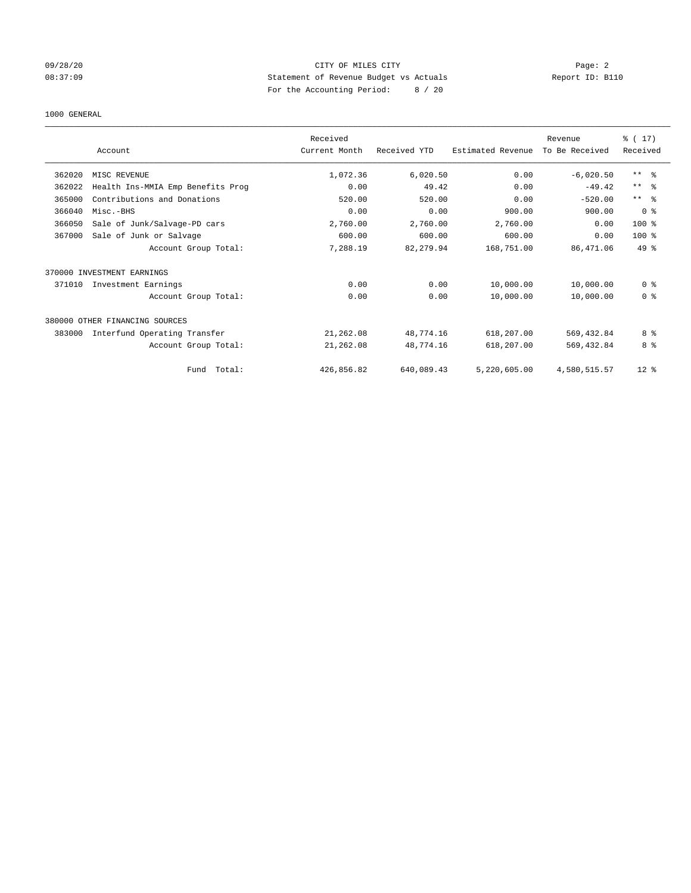## 09/28/20 Page: 2 08:37:09 Statement of Revenue Budget vs Actuals Report ID: B110 For the Accounting Period: 8 / 20

#### 1000 GENERAL

|        | Account                           | Received<br>Current Month | Received YTD | Estimated Revenue | Revenue<br>To Be Received | $\frac{1}{2}$ (17)<br>Received |
|--------|-----------------------------------|---------------------------|--------------|-------------------|---------------------------|--------------------------------|
| 362020 | MISC REVENUE                      | 1,072.36                  | 6,020.50     | 0.00              | $-6,020.50$               | $***$ $=$ $\frac{6}{5}$        |
| 362022 | Health Ins-MMIA Emp Benefits Prog | 0.00                      | 49.42        | 0.00              | $-49.42$                  | $***$ $=$ $\frac{6}{5}$        |
| 365000 | Contributions and Donations       | 520.00                    | 520.00       | 0.00              | $-520.00$                 | $***$ $\approx$                |
| 366040 | Misc.-BHS                         | 0.00                      | 0.00         | 900.00            | 900.00                    | 0 <sup>8</sup>                 |
| 366050 | Sale of Junk/Salvage-PD cars      | 2,760.00                  | 2,760.00     | 2,760.00          | 0.00                      | 100 %                          |
| 367000 | Sale of Junk or Salvage           | 600.00                    | 600.00       | 600.00            | 0.00                      | $100*$                         |
|        | Account Group Total:              | 7,288.19                  | 82,279.94    | 168,751.00        | 86, 471, 06               | $49*$                          |
|        | 370000 INVESTMENT EARNINGS        |                           |              |                   |                           |                                |
| 371010 | Investment Earnings               | 0.00                      | 0.00         | 10,000.00         | 10,000.00                 | 0 <sup>8</sup>                 |
|        | Account Group Total:              | 0.00                      | 0.00         | 10,000.00         | 10,000.00                 | 0 <sup>8</sup>                 |
|        | 380000 OTHER FINANCING SOURCES    |                           |              |                   |                           |                                |
| 383000 | Interfund Operating Transfer      | 21,262.08                 | 48,774.16    | 618,207.00        | 569,432.84                | 8 %                            |
|        | Account Group Total:              | 21,262.08                 | 48,774.16    | 618,207.00        | 569, 432.84               | 8 %                            |
|        | Total:<br>Fund                    | 426,856.82                | 640,089.43   | 5,220,605.00      | 4,580,515.57              | $12$ %                         |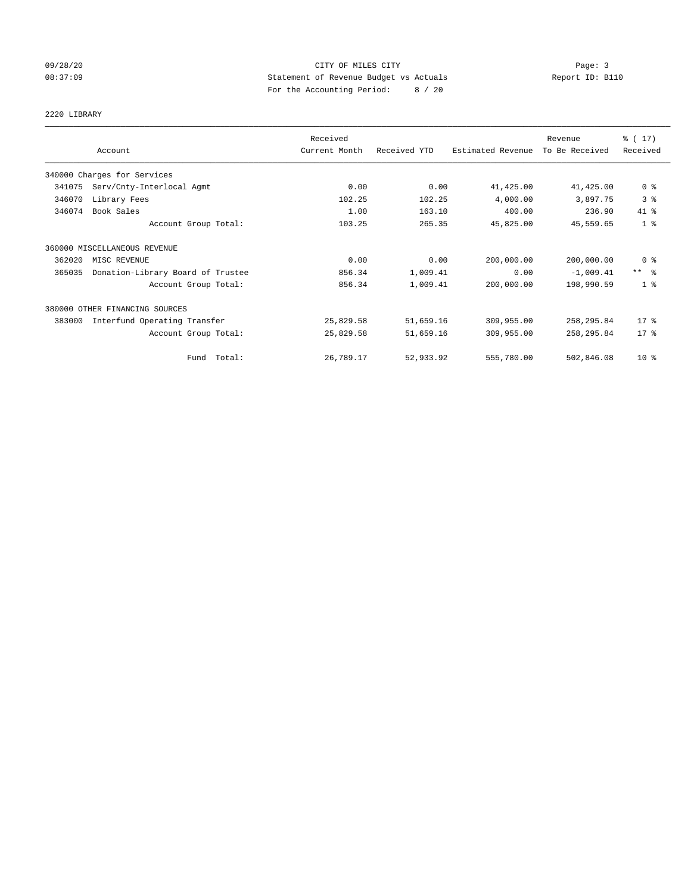## 09/28/20 Page: 3 CITY OF MILES CITY 08:37:09 Statement of Revenue Budget vs Actuals Report ID: B110 For the Accounting Period: 8 / 20

# 2220 LIBRARY

|        | Account                           | Received<br>Current Month | Received YTD | Estimated Revenue | Revenue<br>To Be Received | % (17)<br>Received  |
|--------|-----------------------------------|---------------------------|--------------|-------------------|---------------------------|---------------------|
|        | 340000 Charges for Services       |                           |              |                   |                           |                     |
| 341075 | Serv/Cnty-Interlocal Agmt         | 0.00                      | 0.00         | 41,425.00         | 41, 425.00                | 0 <sup>8</sup>      |
| 346070 | Library Fees                      | 102.25                    | 102.25       | 4,000.00          | 3,897.75                  | 3 <sup>°</sup>      |
| 346074 | Book Sales                        | 1.00                      | 163.10       | 400.00            | 236.90                    | 41.8                |
|        | Account Group Total:              | 103.25                    | 265.35       | 45,825.00         | 45,559.65                 | 1 <sup>°</sup>      |
|        | 360000 MISCELLANEOUS REVENUE      |                           |              |                   |                           |                     |
| 362020 | MISC REVENUE                      | 0.00                      | 0.00         | 200,000.00        | 200,000.00                | 0 <sup>8</sup>      |
| 365035 | Donation-Library Board of Trustee | 856.34                    | 1,009.41     | 0.00              | $-1,009.41$               | $***$ $\frac{6}{5}$ |
|        | Account Group Total:              | 856.34                    | 1,009.41     | 200,000.00        | 198,990.59                | 1 <sup>8</sup>      |
|        | 380000 OTHER FINANCING SOURCES    |                           |              |                   |                           |                     |
| 383000 | Interfund Operating Transfer      | 25,829.58                 | 51,659.16    | 309,955.00        | 258,295.84                | $17$ %              |
|        | Account Group Total:              | 25,829.58                 | 51,659.16    | 309,955.00        | 258, 295.84               | $17$ %              |
|        | Fund Total:                       | 26,789.17                 | 52,933.92    | 555,780.00        | 502,846.08                | $10*$               |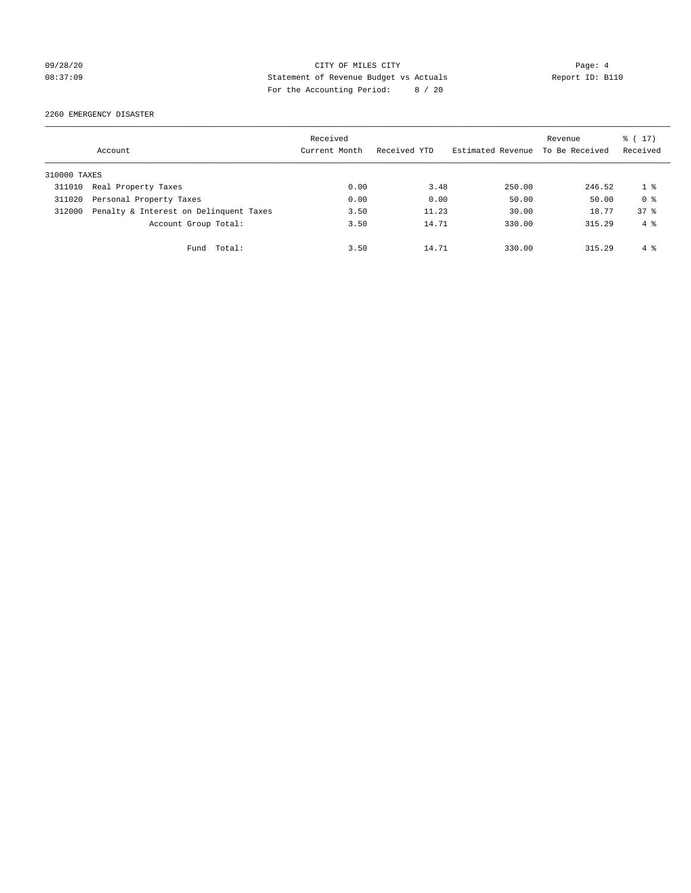## 09/28/20 Page: 4 CITY OF MILES CITY 08:37:09 Statement of Revenue Budget vs Actuals Report ID: B110 For the Accounting Period: 8 / 20

#### 2260 EMERGENCY DISASTER

|              | Account                                | Received<br>Current Month | Received YTD | Estimated Revenue To Be Received | Revenue | $\frac{1}{6}$ (17)<br>Received |
|--------------|----------------------------------------|---------------------------|--------------|----------------------------------|---------|--------------------------------|
| 310000 TAXES |                                        |                           |              |                                  |         |                                |
| 311010       | Real Property Taxes                    | 0.00                      | 3.48         | 250.00                           | 246.52  | 18                             |
| 311020       | Personal Property Taxes                | 0.00                      | 0.00         | 50.00                            | 50.00   | 0 <sup>8</sup>                 |
| 312000       | Penalty & Interest on Delinquent Taxes | 3.50                      | 11.23        | 30.00                            | 18.77   | 37 <sup>8</sup>                |
|              | Account Group Total:                   | 3.50                      | 14.71        | 330.00                           | 315.29  | $4 \text{ }$                   |
|              | Fund Total:                            | 3.50                      | 14.71        | 330.00                           | 315.29  | 4 %                            |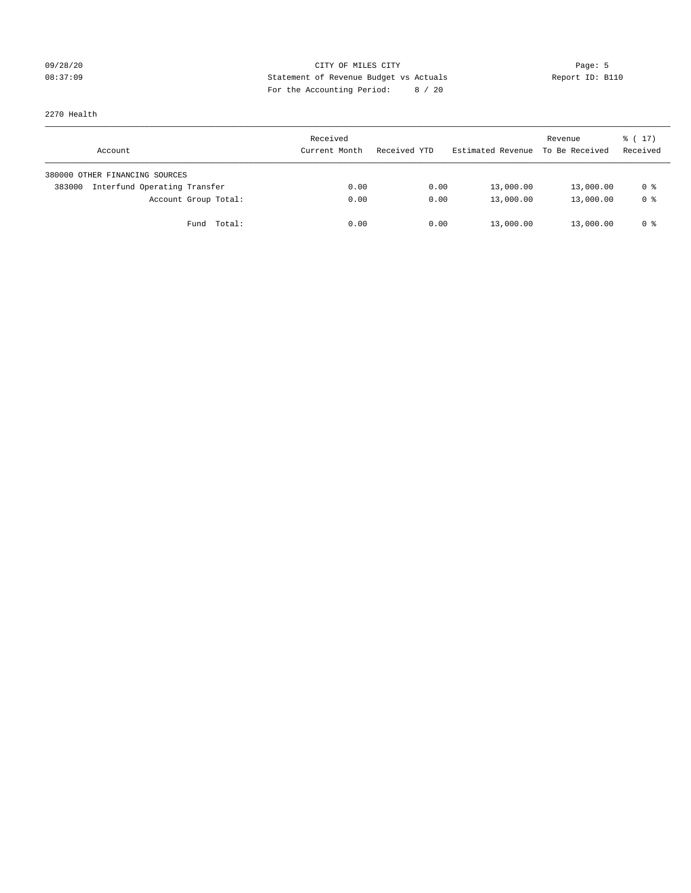## 09/28/20 Page: 5 Page: 5 Page: 5 Page: 5 Page: 5 Page: 5 Page: 5 Page: 5 Page: 5 Page: 5 Page: 5 Page: 5 Page: 5 Page: 5 Page: 5 Page: 5 Page: 5 Page: 5 Page: 5 Page: 5 Page: 5 Page: 5 Page: 5 Page: 5 Page: 5 Page: 5 Page: 08:37:09 Statement of Revenue Budget vs Actuals Report ID: B110 For the Accounting Period: 8 / 20

2270 Health

| Account                                | Received<br>Current Month | Received YTD | Estimated Revenue | Revenue<br>To Be Received | $\frac{1}{6}$ ( 17)<br>Received |
|----------------------------------------|---------------------------|--------------|-------------------|---------------------------|---------------------------------|
| 380000 OTHER FINANCING SOURCES         |                           |              |                   |                           |                                 |
| Interfund Operating Transfer<br>383000 | 0.00                      | 0.00         | 13,000.00         | 13,000.00                 | 0 %                             |
| Account Group Total:                   | 0.00                      | 0.00         | 13,000.00         | 13,000.00                 | 0 %                             |
| Total:<br>Fund                         | 0.00                      | 0.00         | 13,000.00         | 13,000.00                 | 0 %                             |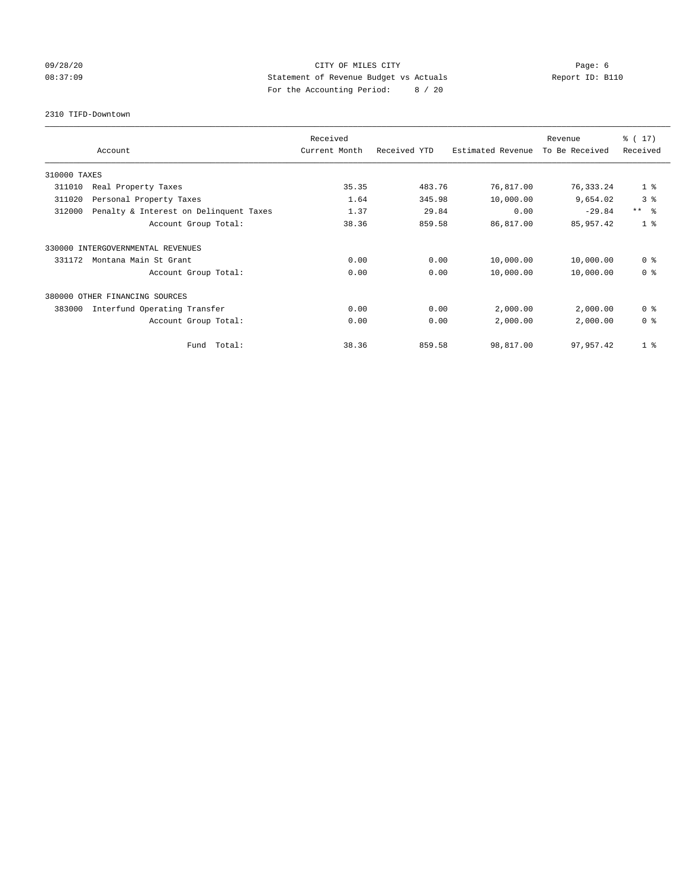## 09/28/20 Page: 6 CITY OF MILES CITY 08:37:09 Statement of Revenue Budget vs Actuals Report ID: B110 For the Accounting Period: 8 / 20

2310 TIFD-Downtown

|              |                                        | Received      |              |                   | Revenue        | $\frac{1}{6}$ (17) |
|--------------|----------------------------------------|---------------|--------------|-------------------|----------------|--------------------|
|              | Account                                | Current Month | Received YTD | Estimated Revenue | To Be Received | Received           |
| 310000 TAXES |                                        |               |              |                   |                |                    |
| 311010       | Real Property Taxes                    | 35.35         | 483.76       | 76,817.00         | 76, 333.24     | 1 <sup>8</sup>     |
| 311020       | Personal Property Taxes                | 1.64          | 345.98       | 10,000.00         | 9,654.02       | 3 <sup>°</sup>     |
| 312000       | Penalty & Interest on Delinquent Taxes | 1.37          | 29.84        | 0.00              | $-29.84$       | $***$ $\approx$    |
|              | Account Group Total:                   | 38.36         | 859.58       | 86,817.00         | 85,957.42      | 1 <sup>°</sup>     |
| 330000       | INTERGOVERNMENTAL REVENUES             |               |              |                   |                |                    |
| 331172       | Montana Main St Grant                  | 0.00          | 0.00         | 10,000.00         | 10,000.00      | 0 <sup>8</sup>     |
|              | Account Group Total:                   | 0.00          | 0.00         | 10,000.00         | 10,000.00      | 0 <sup>8</sup>     |
| 380000       | OTHER FINANCING SOURCES                |               |              |                   |                |                    |
| 383000       | Interfund Operating Transfer           | 0.00          | 0.00         | 2,000.00          | 2,000.00       | 0 <sup>8</sup>     |
|              | Account Group Total:                   | 0.00          | 0.00         | 2,000.00          | 2,000.00       | 0 <sup>8</sup>     |
|              | Total:<br>Fund                         | 38.36         | 859.58       | 98,817.00         | 97,957.42      | 1 <sup>8</sup>     |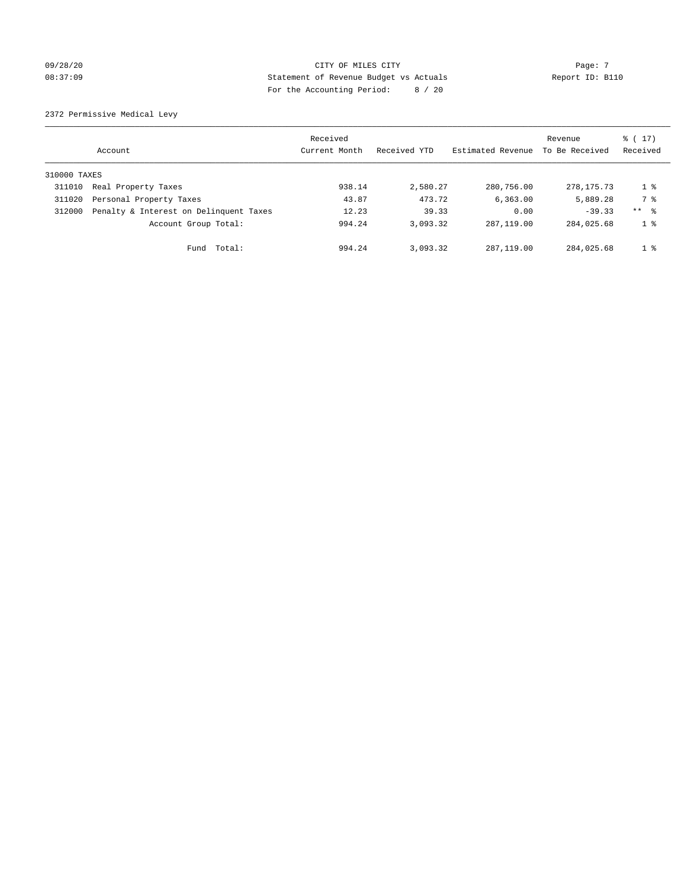## $O(28/20$  Page: 7 08:37:09 Statement of Revenue Budget vs Actuals Report ID: B110 For the Accounting Period: 8 / 20

2372 Permissive Medical Levy

|              | Account                                | Received<br>Current Month | Received YTD | Estimated Revenue | Revenue<br>To Be Received | $\frac{1}{6}$ (17)<br>Received |
|--------------|----------------------------------------|---------------------------|--------------|-------------------|---------------------------|--------------------------------|
| 310000 TAXES |                                        |                           |              |                   |                           |                                |
| 311010       | Real Property Taxes                    | 938.14                    | 2,580.27     | 280,756.00        | 278, 175. 73              | $1 \circ$                      |
| 311020       | Personal Property Taxes                | 43.87                     | 473.72       | 6.363.00          | 5,889.28                  | 7 %                            |
| 312000       | Penalty & Interest on Delinquent Taxes | 12.23                     | 39.33        | 0.00              | $-39.33$                  | $***$ $\frac{6}{5}$            |
|              | Account Group Total:                   | 994.24                    | 3,093.32     | 287, 119, 00      | 284,025.68                | 1 <sup>8</sup>                 |
|              | Fund Total:                            | 994.24                    | 3,093.32     | 287,119.00        | 284,025.68                | 1 <sup>8</sup>                 |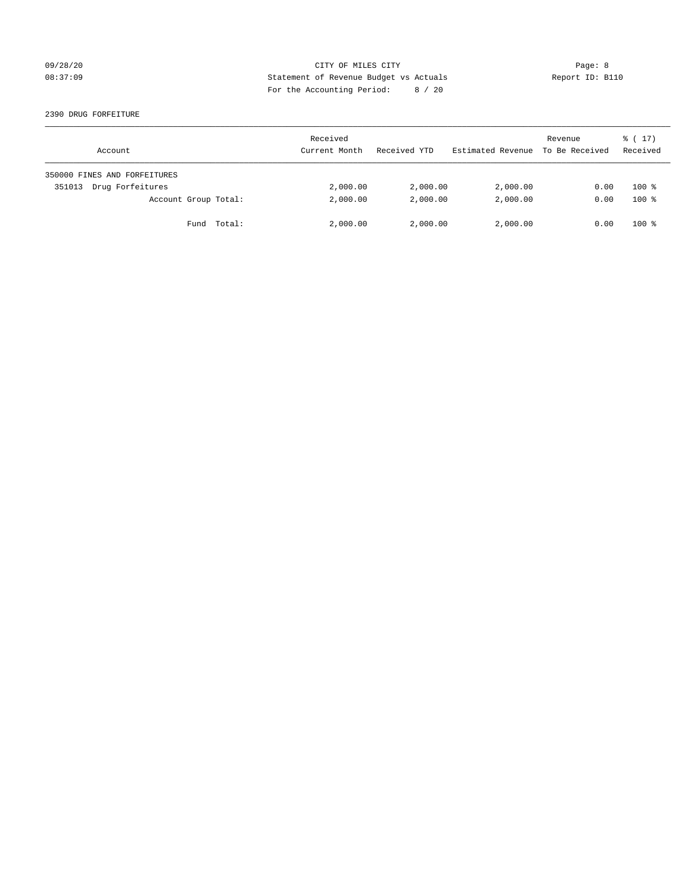## 09/28/20 Page: 8 CITY OF MILES CITY 08:37:09 Statement of Revenue Budget vs Actuals Report ID: B110 For the Accounting Period: 8 / 20

#### 2390 DRUG FORFEITURE

| Account                      | Received<br>Current Month | Received YTD | Estimated Revenue | Revenue<br>To Be Received | $\frac{1}{6}$ ( 17 )<br>Received |
|------------------------------|---------------------------|--------------|-------------------|---------------------------|----------------------------------|
| 350000 FINES AND FORFEITURES |                           |              |                   |                           |                                  |
| Drug Forfeitures<br>351013   | 2,000.00                  | 2,000.00     | 2,000.00          | 0.00                      | $100*$                           |
| Account Group Total:         | 2,000.00                  | 2,000.00     | 2,000.00          | 0.00                      | $100*$                           |
| Fund Total:                  | 2,000.00                  | 2,000.00     | 2,000.00          | 0.00                      | $100*$                           |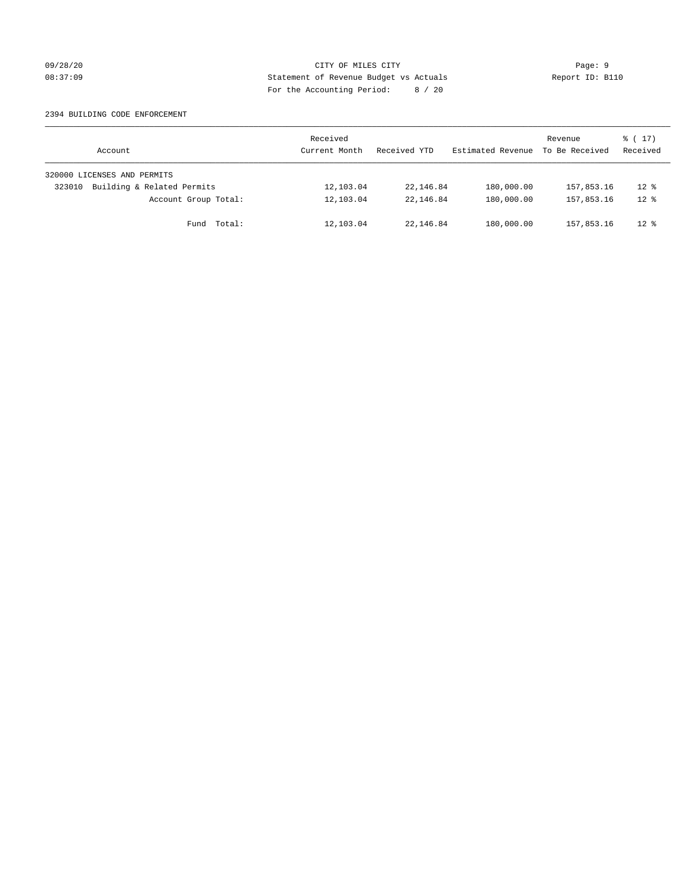## 09/28/20 Page: 9 Page: 9 08:37:09 Statement of Revenue Budget vs Actuals Report ID: B110 For the Accounting Period: 8 / 20

#### 2394 BUILDING CODE ENFORCEMENT

| Account                              | Received<br>Current Month | Received YTD | Estimated Revenue | Revenue<br>To Be Received | $\frac{1}{6}$ ( 17)<br>Received |
|--------------------------------------|---------------------------|--------------|-------------------|---------------------------|---------------------------------|
| 320000 LICENSES AND PERMITS          |                           |              |                   |                           |                                 |
| Building & Related Permits<br>323010 | 12,103.04                 | 22,146.84    | 180,000.00        | 157,853.16                | $12$ %                          |
| Account Group Total:                 | 12,103.04                 | 22, 146.84   | 180,000.00        | 157,853.16                | $12*$                           |
| Fund Total:                          | 12,103.04                 | 22, 146.84   | 180,000.00        | 157,853.16                | $12*$                           |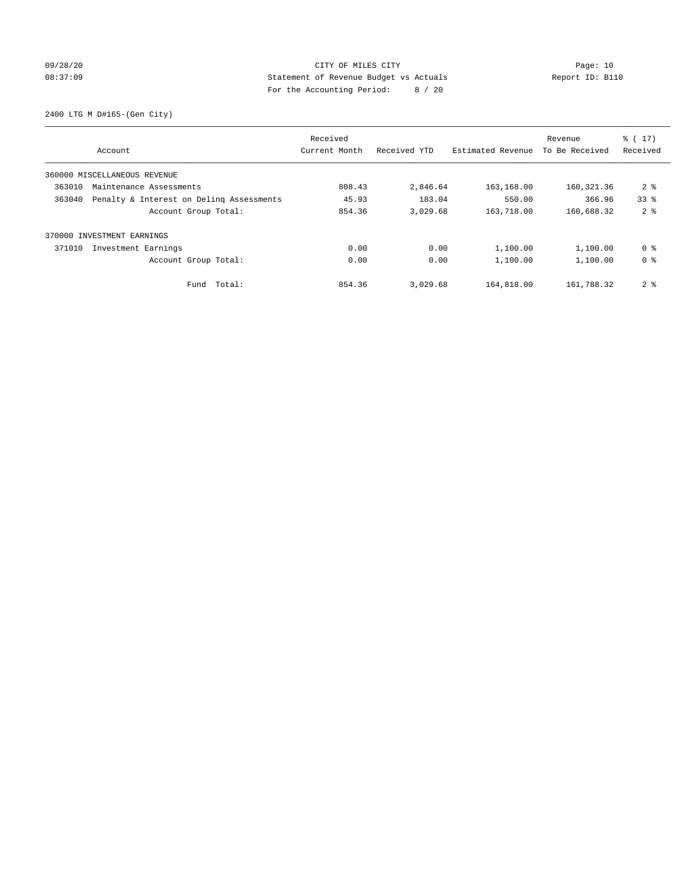## 09/28/20 Page: 10 08:37:09 Statement of Revenue Budget vs Actuals Report ID: B110 For the Accounting Period: 8 / 20

2400 LTG M D#165-(Gen City)

|                                                    | Received      |              |                   | Revenue        | $\frac{2}{3}$ ( 17) |
|----------------------------------------------------|---------------|--------------|-------------------|----------------|---------------------|
| Account                                            | Current Month | Received YTD | Estimated Revenue | To Be Received | Received            |
| 360000 MISCELLANEOUS REVENUE                       |               |              |                   |                |                     |
| 363010<br>Maintenance Assessments                  | 808.43        | 2,846.64     | 163,168.00        | 160, 321.36    | 2 <sub>8</sub>      |
| 363040<br>Penalty & Interest on Deling Assessments | 45.93         | 183.04       | 550.00            | 366.96         | 33 <sup>8</sup>     |
| Account Group Total:                               | 854.36        | 3,029.68     | 163,718.00        | 160,688.32     | 2 <sup>8</sup>      |
| 370000 INVESTMENT EARNINGS                         |               |              |                   |                |                     |
| 371010<br>Investment Earnings                      | 0.00          | 0.00         | 1,100.00          | 1,100.00       | 0 %                 |
| Account Group Total:                               | 0.00          | 0.00         | 1,100.00          | 1,100.00       | 0 <sup>8</sup>      |
| Total:<br>Fund                                     | 854.36        | 3,029.68     | 164,818.00        | 161,788.32     | 2 <sub>8</sub>      |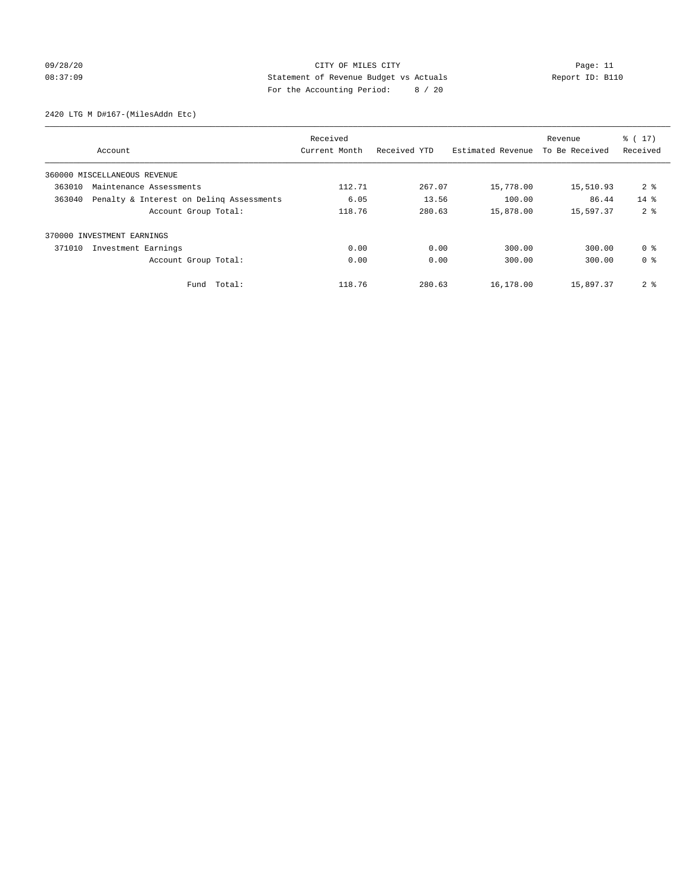## 09/28/20 Page: 11 CITY OF MILES CITY CONTROL CONTROL Page: 11 08:37:09 Statement of Revenue Budget vs Actuals Report ID: B110 For the Accounting Period: 8 / 20

2420 LTG M D#167-(MilesAddn Etc)

|        | Account                                  | Received<br>Current Month | Received YTD | Estimated Revenue | Revenue<br>To Be Received | % (17)<br>Received |
|--------|------------------------------------------|---------------------------|--------------|-------------------|---------------------------|--------------------|
|        | 360000 MISCELLANEOUS REVENUE             |                           |              |                   |                           |                    |
| 363010 | Maintenance Assessments                  | 112.71                    | 267.07       | 15,778.00         | 15,510.93                 | 2 <sub>8</sub>     |
| 363040 | Penalty & Interest on Deling Assessments | 6.05                      | 13.56        | 100.00            | 86.44                     | $14*$              |
|        | Account Group Total:                     | 118.76                    | 280.63       | 15,878.00         | 15,597.37                 | 2 <sub>8</sub>     |
|        | 370000 INVESTMENT EARNINGS               |                           |              |                   |                           |                    |
| 371010 | Investment Earnings                      | 0.00                      | 0.00         | 300.00            | 300.00                    | 0 <sup>8</sup>     |
|        | Account Group Total:                     | 0.00                      | 0.00         | 300.00            | 300.00                    | 0 <sup>8</sup>     |
|        | Fund Total:                              | 118.76                    | 280.63       | 16,178.00         | 15,897.37                 | 2 <sub>8</sub>     |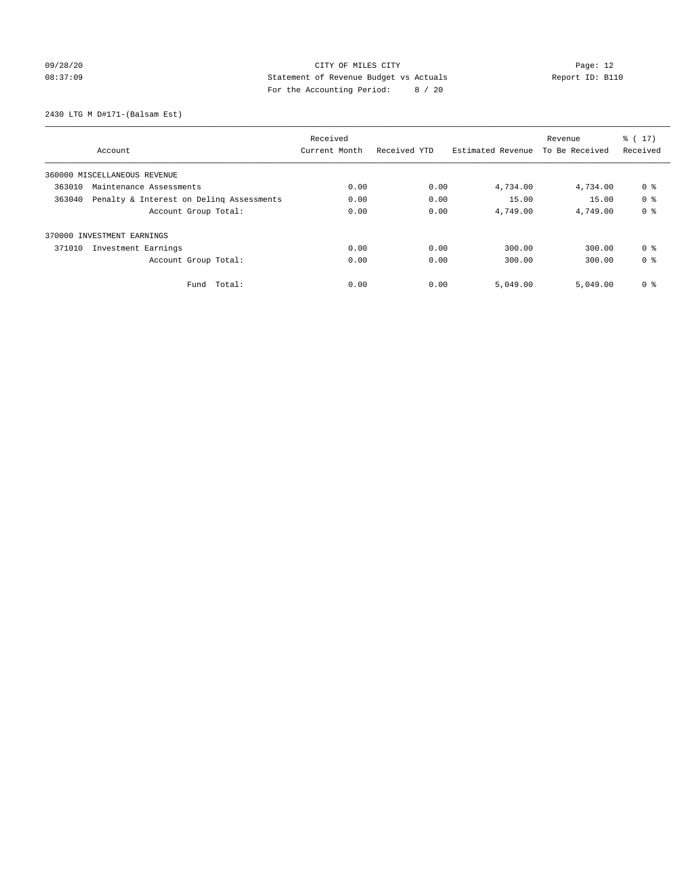## 09/28/20 Page: 12 08:37:09 Statement of Revenue Budget vs Actuals Report ID: B110 For the Accounting Period: 8 / 20

2430 LTG M D#171-(Balsam Est)

|                                                    | Received      |              |                   | Revenue        | $\frac{2}{3}$ ( 17) |
|----------------------------------------------------|---------------|--------------|-------------------|----------------|---------------------|
| Account                                            | Current Month | Received YTD | Estimated Revenue | To Be Received | Received            |
| 360000 MISCELLANEOUS REVENUE                       |               |              |                   |                |                     |
| 363010<br>Maintenance Assessments                  | 0.00          | 0.00         | 4,734.00          | 4,734.00       | 0 %                 |
| 363040<br>Penalty & Interest on Deling Assessments | 0.00          | 0.00         | 15.00             | 15.00          | 0 <sup>8</sup>      |
| Account Group Total:                               | 0.00          | 0.00         | 4,749.00          | 4,749.00       | 0 <sup>8</sup>      |
| 370000 INVESTMENT EARNINGS                         |               |              |                   |                |                     |
| 371010<br>Investment Earnings                      | 0.00          | 0.00         | 300.00            | 300.00         | 0 <sup>8</sup>      |
| Account Group Total:                               | 0.00          | 0.00         | 300.00            | 300.00         | 0 <sup>8</sup>      |
| Total:<br>Fund                                     | 0.00          | 0.00         | 5,049.00          | 5.049.00       | 0 <sup>8</sup>      |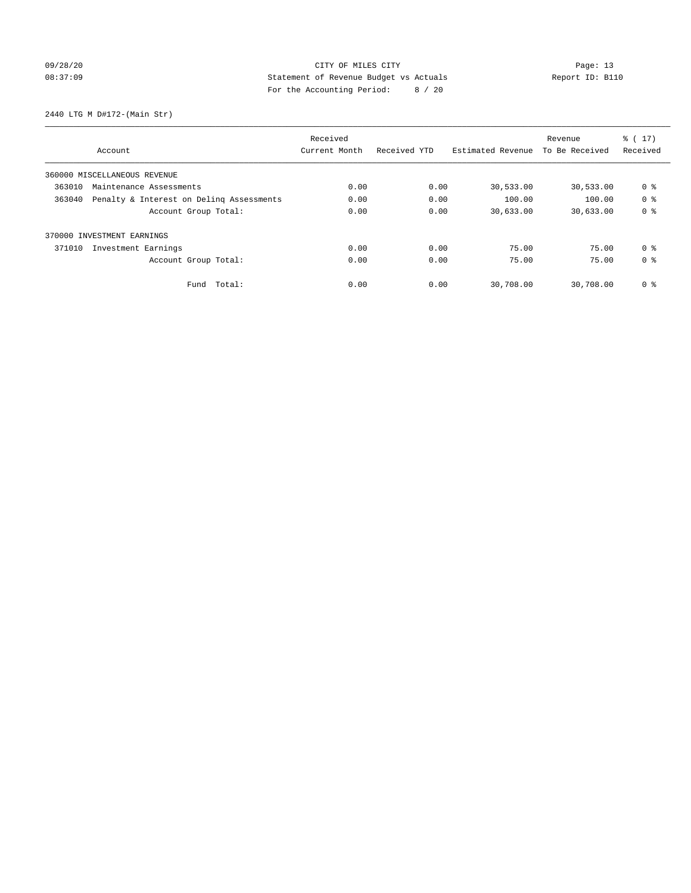## 09/28/20 Page: 13 08:37:09 Statement of Revenue Budget vs Actuals Report ID: B110 For the Accounting Period: 8 / 20

2440 LTG M D#172-(Main Str)

|        |                                          | Received      |              |                   | Revenue        | $\frac{2}{3}$ ( 17) |
|--------|------------------------------------------|---------------|--------------|-------------------|----------------|---------------------|
|        | Account                                  | Current Month | Received YTD | Estimated Revenue | To Be Received | Received            |
|        | 360000 MISCELLANEOUS REVENUE             |               |              |                   |                |                     |
| 363010 | Maintenance Assessments                  | 0.00          | 0.00         | 30,533.00         | 30,533.00      | 0 %                 |
| 363040 | Penalty & Interest on Deling Assessments | 0.00          | 0.00         | 100.00            | 100.00         | 0 <sup>8</sup>      |
|        | Account Group Total:                     | 0.00          | 0.00         | 30,633.00         | 30,633.00      | 0 <sup>8</sup>      |
|        | 370000 INVESTMENT EARNINGS               |               |              |                   |                |                     |
| 371010 | Investment Earnings                      | 0.00          | 0.00         | 75.00             | 75.00          | 0 <sup>8</sup>      |
|        | Account Group Total:                     | 0.00          | 0.00         | 75.00             | 75.00          | 0 <sup>8</sup>      |
|        | Fund Total:                              | 0.00          | 0.00         | 30,708.00         | 30,708.00      | 0 %                 |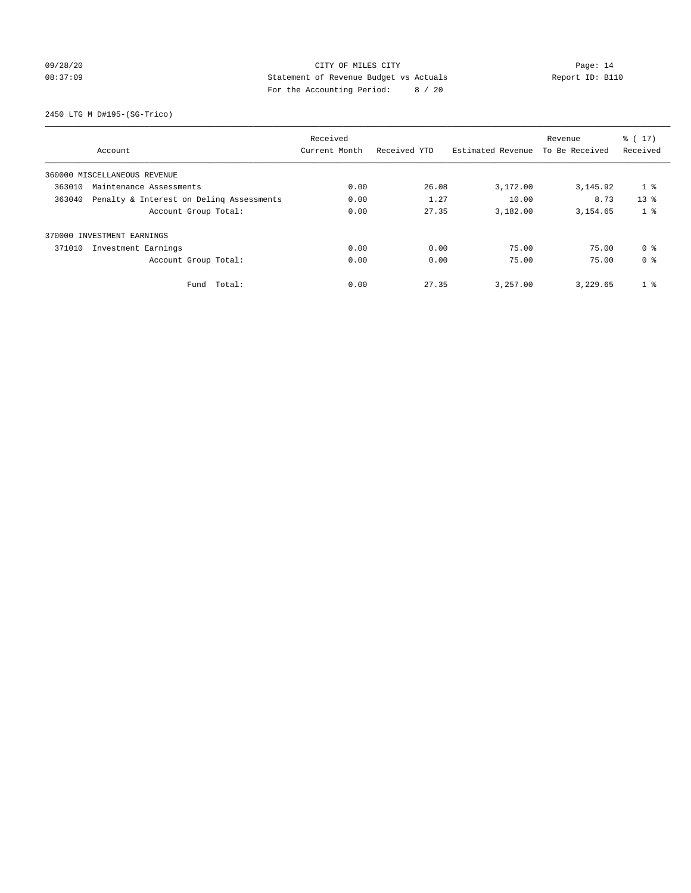## 09/28/20 Page: 14 08:37:09 Statement of Revenue Budget vs Actuals Report ID: B110 For the Accounting Period: 8 / 20

2450 LTG M D#195-(SG-Trico)

|                                                    | Received      |              |                   | Revenue        | $\frac{2}{3}$ ( 17) |
|----------------------------------------------------|---------------|--------------|-------------------|----------------|---------------------|
| Account                                            | Current Month | Received YTD | Estimated Revenue | To Be Received | Received            |
| 360000 MISCELLANEOUS REVENUE                       |               |              |                   |                |                     |
| 363010<br>Maintenance Assessments                  | 0.00          | 26.08        | 3,172.00          | 3, 145.92      | $1$ %               |
| 363040<br>Penalty & Interest on Deling Assessments | 0.00          | 1.27         | 10.00             | 8.73           | 13 <sup>8</sup>     |
| Account Group Total:                               | 0.00          | 27.35        | 3,182.00          | 3, 154, 65     | 1 <sup>8</sup>      |
| 370000 INVESTMENT EARNINGS                         |               |              |                   |                |                     |
| 371010<br>Investment Earnings                      | 0.00          | 0.00         | 75.00             | 75.00          | 0 <sup>8</sup>      |
| Account Group Total:                               | 0.00          | 0.00         | 75.00             | 75.00          | 0 <sup>8</sup>      |
| Total:<br>Fund                                     | 0.00          | 27.35        | 3,257.00          | 3,229.65       | 1 <sup>8</sup>      |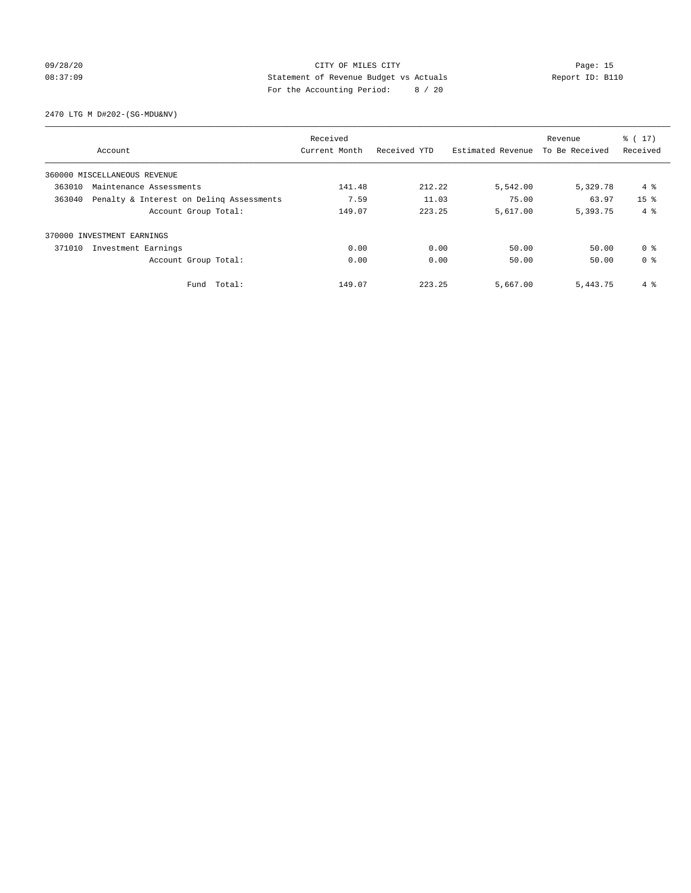## 09/28/20 Page: 15 08:37:09 Statement of Revenue Budget vs Actuals Report ID: B110 For the Accounting Period: 8 / 20

2470 LTG M D#202-(SG-MDU&NV)

|        |                                          | Received      |              |                   | Revenue        | $\frac{2}{3}$ ( 17) |
|--------|------------------------------------------|---------------|--------------|-------------------|----------------|---------------------|
|        | Account                                  | Current Month | Received YTD | Estimated Revenue | To Be Received | Received            |
|        | 360000 MISCELLANEOUS REVENUE             |               |              |                   |                |                     |
| 363010 | Maintenance Assessments                  | 141.48        | 212.22       | 5,542.00          | 5,329.78       | 4 %                 |
| 363040 | Penalty & Interest on Deling Assessments | 7.59          | 11.03        | 75.00             | 63.97          | 15 <sup>8</sup>     |
|        | Account Group Total:                     | 149.07        | 223.25       | 5,617.00          | 5,393.75       | $4 \text{ }$        |
|        | 370000 INVESTMENT EARNINGS               |               |              |                   |                |                     |
| 371010 | Investment Earnings                      | 0.00          | 0.00         | 50.00             | 50.00          | 0 <sup>8</sup>      |
|        | Account Group Total:                     | 0.00          | 0.00         | 50.00             | 50.00          | 0 <sup>8</sup>      |
|        | Fund Total:                              | 149.07        | 223.25       | 5,667.00          | 5,443.75       | 4 %                 |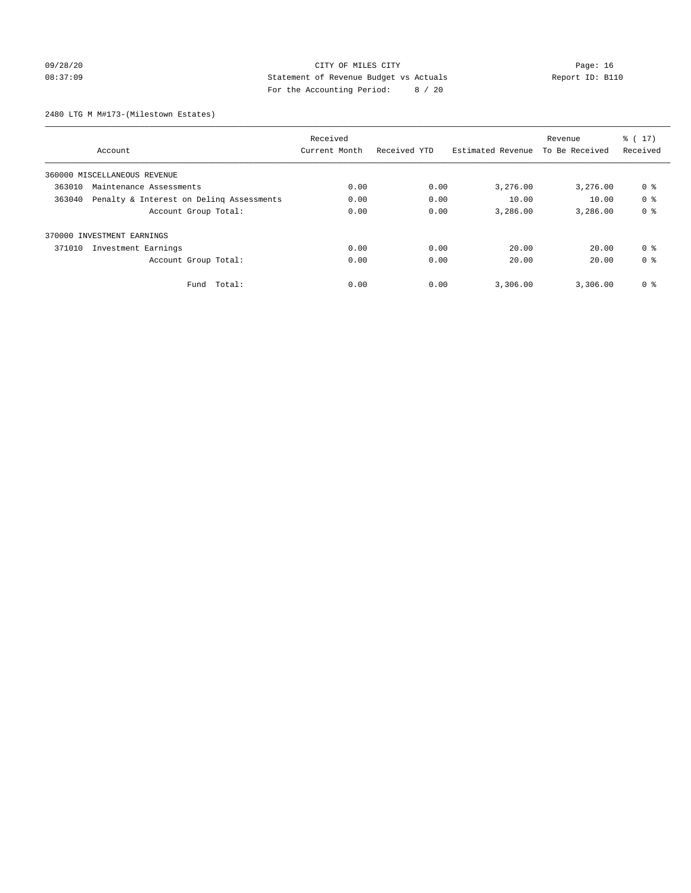## 09/28/20 Page: 16 CITY OF MILES CITY CONTROL CONTROL Page: 16 08:37:09 Statement of Revenue Budget vs Actuals Report ID: B110 For the Accounting Period: 8 / 20

2480 LTG M M#173-(Milestown Estates)

|        |                                          | Received      |              |                   | Revenue        | $\frac{2}{3}$ ( 17) |
|--------|------------------------------------------|---------------|--------------|-------------------|----------------|---------------------|
|        | Account                                  | Current Month | Received YTD | Estimated Revenue | To Be Received | Received            |
|        | 360000 MISCELLANEOUS REVENUE             |               |              |                   |                |                     |
| 363010 | Maintenance Assessments                  | 0.00          | 0.00         | 3,276.00          | 3,276.00       | 0 %                 |
| 363040 | Penalty & Interest on Deling Assessments | 0.00          | 0.00         | 10.00             | 10.00          | 0 <sup>8</sup>      |
|        | Account Group Total:                     | 0.00          | 0.00         | 3,286.00          | 3,286.00       | 0 <sup>8</sup>      |
|        | 370000 INVESTMENT EARNINGS               |               |              |                   |                |                     |
| 371010 | Investment Earnings                      | 0.00          | 0.00         | 20.00             | 20.00          | 0 <sup>8</sup>      |
|        | Account Group Total:                     | 0.00          | 0.00         | 20.00             | 20.00          | 0 <sup>8</sup>      |
|        | Fund Total:                              | 0.00          | 0.00         | 3,306.00          | 3,306.00       | 0 %                 |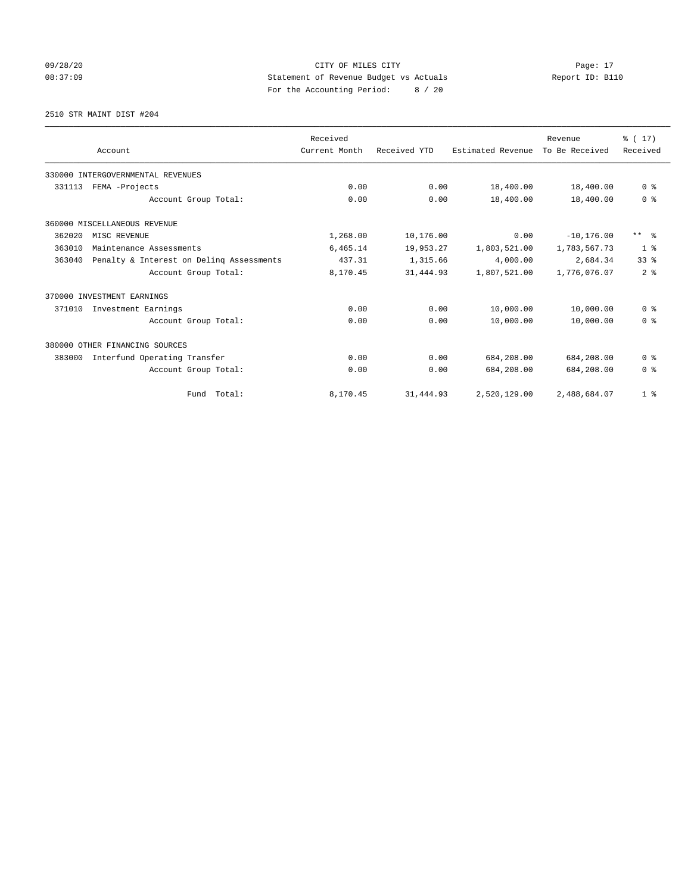09/28/20 Page: 17 CITY OF MILES CITY CONTROL Page: 17 08:37:09 Statement of Revenue Budget vs Actuals Report ID: B110 For the Accounting Period: 8 / 20

2510 STR MAINT DIST #204

|        |                                          | Received      |              |                   | Revenue        | $\frac{1}{6}$ (17) |
|--------|------------------------------------------|---------------|--------------|-------------------|----------------|--------------------|
|        | Account                                  | Current Month | Received YTD | Estimated Revenue | To Be Received | Received           |
|        | 330000 INTERGOVERNMENTAL REVENUES        |               |              |                   |                |                    |
| 331113 | FEMA -Projects                           | 0.00          | 0.00         | 18,400.00         | 18,400.00      | 0 <sup>8</sup>     |
|        | Account Group Total:                     | 0.00          | 0.00         | 18,400.00         | 18,400.00      | 0 <sup>8</sup>     |
|        | 360000 MISCELLANEOUS REVENUE             |               |              |                   |                |                    |
| 362020 | MISC REVENUE                             | 1,268.00      | 10,176.00    | 0.00              | $-10, 176.00$  | $***$ $=$          |
| 363010 | Maintenance Assessments                  | 6,465.14      | 19,953.27    | 1,803,521.00      | 1,783,567.73   | 1 <sup>8</sup>     |
| 363040 | Penalty & Interest on Deling Assessments | 437.31        | 1,315.66     | 4,000.00          | 2,684.34       | 33 <sup>8</sup>    |
|        | Account Group Total:                     | 8,170.45      | 31, 444.93   | 1,807,521.00      | 1,776,076.07   | 2 <sup>8</sup>     |
|        | 370000 INVESTMENT EARNINGS               |               |              |                   |                |                    |
| 371010 | Investment Earnings                      | 0.00          | 0.00         | 10,000.00         | 10,000.00      | 0 <sup>8</sup>     |
|        | Account Group Total:                     | 0.00          | 0.00         | 10,000.00         | 10,000.00      | 0 <sup>8</sup>     |
|        | 380000 OTHER FINANCING SOURCES           |               |              |                   |                |                    |
| 383000 | Interfund Operating Transfer             | 0.00          | 0.00         | 684,208.00        | 684,208.00     | 0 <sup>8</sup>     |
|        | Account Group Total:                     | 0.00          | 0.00         | 684,208.00        | 684,208.00     | 0 <sup>8</sup>     |
|        | Total:<br>Fund                           | 8,170.45      | 31,444.93    | 2,520,129.00      | 2,488,684.07   | 1 <sup>8</sup>     |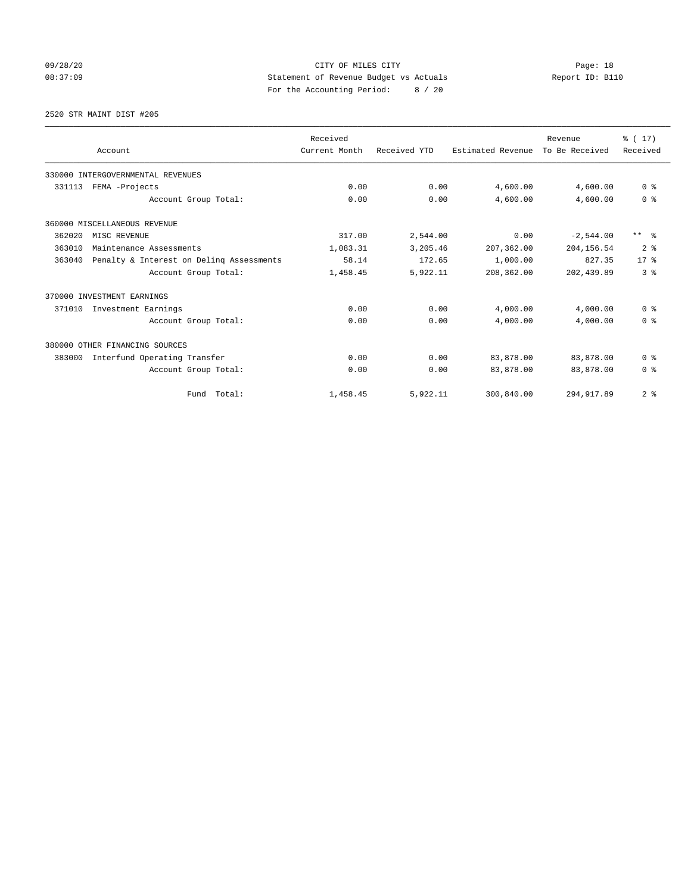## 09/28/20 Page: 18 08:37:09 Statement of Revenue Budget vs Actuals Report ID: B110 For the Accounting Period: 8 / 20

2520 STR MAINT DIST #205

|        |                                          | Received      |              |                   | Revenue        | $\frac{1}{6}$ (17) |
|--------|------------------------------------------|---------------|--------------|-------------------|----------------|--------------------|
|        | Account                                  | Current Month | Received YTD | Estimated Revenue | To Be Received | Received           |
|        | 330000 INTERGOVERNMENTAL REVENUES        |               |              |                   |                |                    |
| 331113 | FEMA -Projects                           | 0.00          | 0.00         | 4,600.00          | 4,600.00       | 0 <sup>8</sup>     |
|        | Account Group Total:                     | 0.00          | 0.00         | 4,600.00          | 4,600.00       | 0 <sup>8</sup>     |
|        | 360000 MISCELLANEOUS REVENUE             |               |              |                   |                |                    |
| 362020 | MISC REVENUE                             | 317.00        | 2,544.00     | 0.00              | $-2,544.00$    | $***$ $\approx$    |
| 363010 | Maintenance Assessments                  | 1,083.31      | 3,205.46     | 207,362.00        | 204, 156.54    | 2 <sup>8</sup>     |
| 363040 | Penalty & Interest on Deling Assessments | 58.14         | 172.65       | 1,000.00          | 827.35         | $17*$              |
|        | Account Group Total:                     | 1,458.45      | 5,922.11     | 208,362.00        | 202, 439.89    | 3 <sup>8</sup>     |
|        | 370000 INVESTMENT EARNINGS               |               |              |                   |                |                    |
| 371010 | Investment Earnings                      | 0.00          | 0.00         | 4,000.00          | 4,000.00       | 0 <sup>8</sup>     |
|        | Account Group Total:                     | 0.00          | 0.00         | 4,000.00          | 4,000.00       | 0 <sup>8</sup>     |
|        | 380000 OTHER FINANCING SOURCES           |               |              |                   |                |                    |
| 383000 | Interfund Operating Transfer             | 0.00          | 0.00         | 83,878.00         | 83,878.00      | 0 <sup>8</sup>     |
|        | Account Group Total:                     | 0.00          | 0.00         | 83,878.00         | 83,878.00      | 0 <sup>8</sup>     |
|        | Fund Total:                              | 1,458.45      | 5,922.11     | 300,840.00        | 294, 917.89    | 2 <sup>8</sup>     |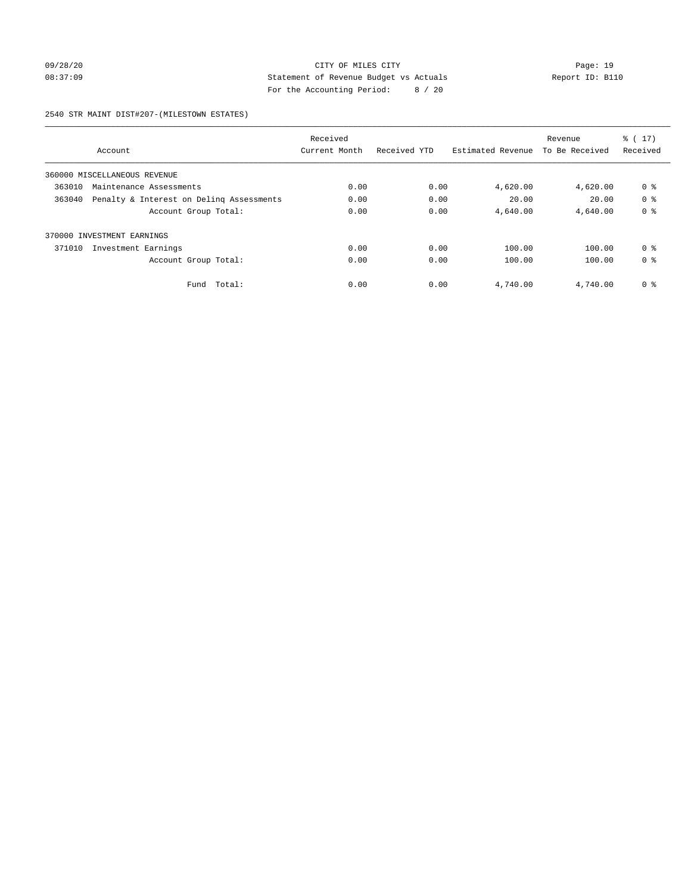## 09/28/20 Page: 19 08:37:09 Statement of Revenue Budget vs Actuals Report ID: B110 For the Accounting Period: 8 / 20

2540 STR MAINT DIST#207-(MILESTOWN ESTATES)

|                                                    |        | Received      |              |                   | Revenue        | $\frac{1}{6}$ (17) |
|----------------------------------------------------|--------|---------------|--------------|-------------------|----------------|--------------------|
| Account                                            |        | Current Month | Received YTD | Estimated Revenue | To Be Received | Received           |
| 360000 MISCELLANEOUS REVENUE                       |        |               |              |                   |                |                    |
| 363010<br>Maintenance Assessments                  |        | 0.00          | 0.00         | 4,620.00          | 4,620.00       | 0 <sup>8</sup>     |
| Penalty & Interest on Deling Assessments<br>363040 |        | 0.00          | 0.00         | 20.00             | 20.00          | 0 <sup>8</sup>     |
| Account Group Total:                               |        | 0.00          | 0.00         | 4,640.00          | 4,640.00       | 0 <sup>8</sup>     |
| INVESTMENT EARNINGS<br>370000                      |        |               |              |                   |                |                    |
| 371010<br>Investment Earnings                      |        | 0.00          | 0.00         | 100.00            | 100.00         | 0 <sup>8</sup>     |
| Account Group Total:                               |        | 0.00          | 0.00         | 100.00            | 100.00         | 0 <sup>8</sup>     |
| Fund                                               | Total: | 0.00          | 0.00         | 4,740.00          | 4,740.00       | 0 %                |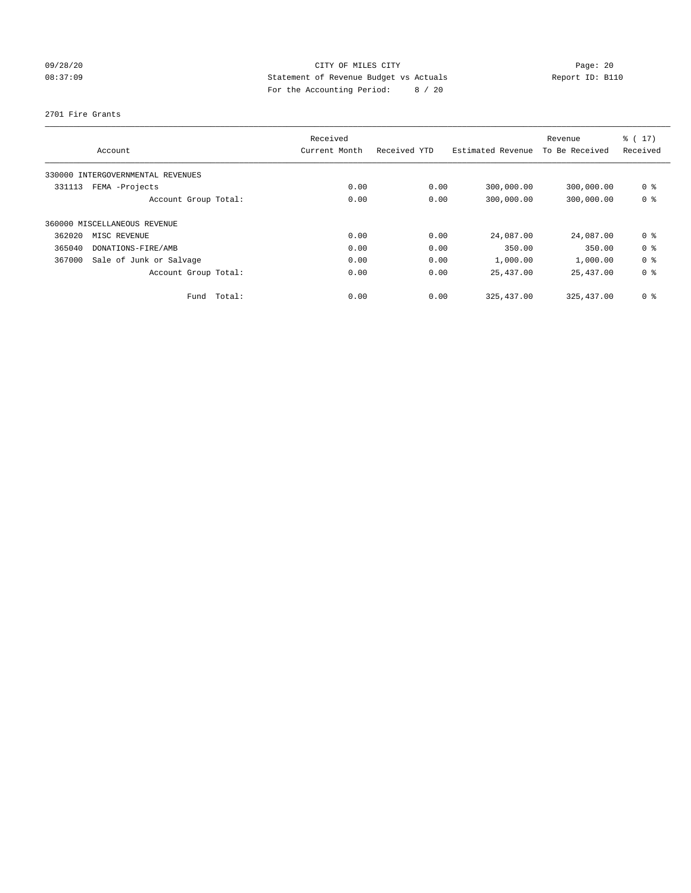## 09/28/20 Page: 20 08:37:09 Statement of Revenue Budget vs Actuals Report ID: B110 For the Accounting Period: 8 / 20

2701 Fire Grants

|        | Account                           | Received<br>Current Month |      | Received YTD | Estimated Revenue | Revenue<br>To Be Received | % (17)<br>Received |
|--------|-----------------------------------|---------------------------|------|--------------|-------------------|---------------------------|--------------------|
|        | 330000 INTERGOVERNMENTAL REVENUES |                           |      |              |                   |                           |                    |
| 331113 | FEMA -Projects                    |                           | 0.00 | 0.00         | 300,000.00        | 300,000.00                | 0 <sup>8</sup>     |
|        | Account Group Total:              |                           | 0.00 | 0.00         | 300,000.00        | 300,000.00                | 0 <sup>8</sup>     |
|        | 360000 MISCELLANEOUS REVENUE      |                           |      |              |                   |                           |                    |
| 362020 | MISC REVENUE                      |                           | 0.00 | 0.00         | 24,087.00         | 24,087.00                 | 0 <sup>8</sup>     |
| 365040 | DONATIONS-FIRE/AMB                |                           | 0.00 | 0.00         | 350.00            | 350.00                    | 0 <sup>8</sup>     |
| 367000 | Sale of Junk or Salvage           |                           | 0.00 | 0.00         | 1,000.00          | 1,000.00                  | 0 <sup>8</sup>     |
|        | Account Group Total:              |                           | 0.00 | 0.00         | 25,437.00         | 25,437.00                 | 0 <sup>8</sup>     |
|        | Fund                              | Total:                    | 0.00 | 0.00         | 325, 437.00       | 325, 437.00               | 0 <sup>8</sup>     |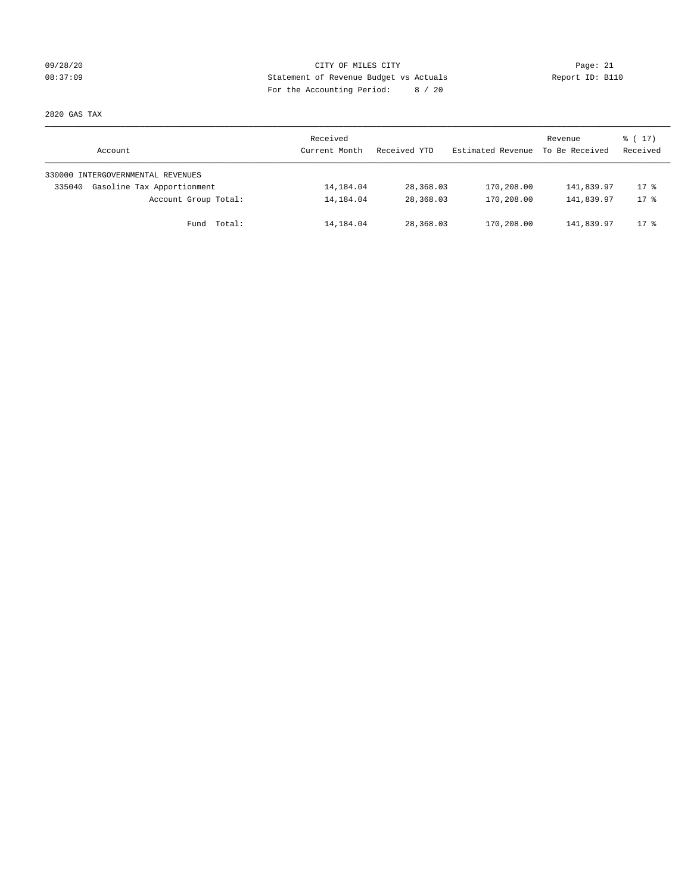## 09/28/20 Page: 21 CITY OF MILES CITY CONTROL CONTROL Page: 21 08:37:09 Statement of Revenue Budget vs Actuals Report ID: B110 For the Accounting Period: 8 / 20

2820 GAS TAX

| Account                              | Received<br>Current Month | Received YTD | Estimated Revenue | Revenue<br>To Be Received | $\frac{1}{6}$ ( 17 )<br>Received |
|--------------------------------------|---------------------------|--------------|-------------------|---------------------------|----------------------------------|
| 330000 INTERGOVERNMENTAL REVENUES    |                           |              |                   |                           |                                  |
| Gasoline Tax Apportionment<br>335040 | 14,184.04                 | 28,368.03    | 170,208.00        | 141,839.97                | $17$ %                           |
| Account Group Total:                 | 14,184.04                 | 28,368.03    | 170,208.00        | 141,839.97                | $17*$                            |
| Fund Total:                          | 14,184.04                 | 28,368.03    | 170,208.00        | 141,839.97                | $17$ %                           |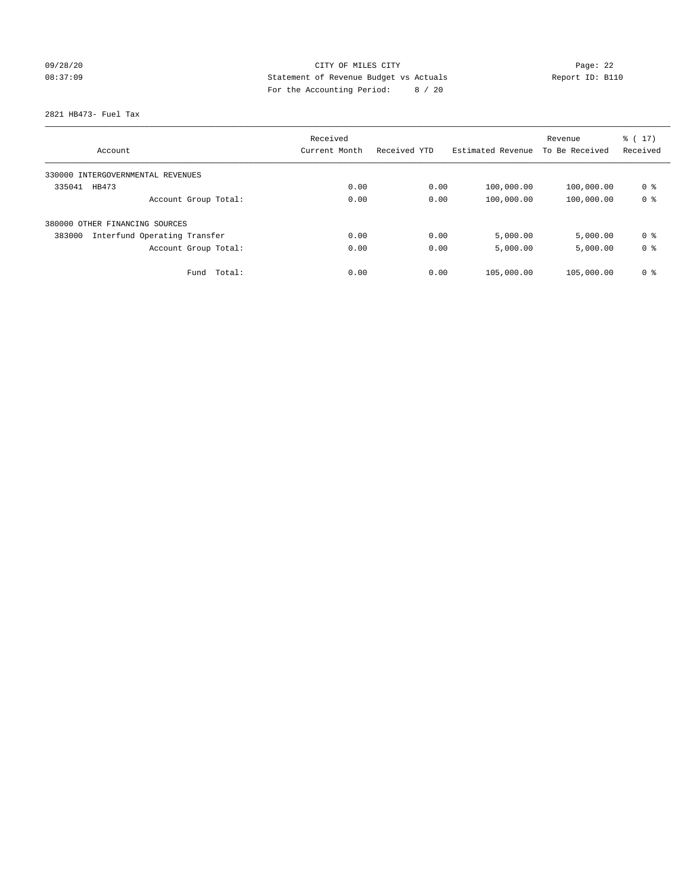## 09/28/20 Page: 22 08:37:09 Statement of Revenue Budget vs Actuals Report ID: B110 For the Accounting Period: 8 / 20

2821 HB473- Fuel Tax

|                                        | Received      |              |                   | Revenue        | $\frac{1}{6}$ ( 17 ) |
|----------------------------------------|---------------|--------------|-------------------|----------------|----------------------|
| Account                                | Current Month | Received YTD | Estimated Revenue | To Be Received | Received             |
| 330000 INTERGOVERNMENTAL REVENUES      |               |              |                   |                |                      |
| 335041<br>HB473                        | 0.00          | 0.00         | 100,000.00        | 100,000.00     | 0 %                  |
| Account Group Total:                   | 0.00          | 0.00         | 100,000.00        | 100,000.00     | 0 <sup>8</sup>       |
| 380000 OTHER FINANCING SOURCES         |               |              |                   |                |                      |
| 383000<br>Interfund Operating Transfer | 0.00          | 0.00         | 5,000.00          | 5,000.00       | 0 <sup>8</sup>       |
| Account Group Total:                   | 0.00          | 0.00         | 5,000.00          | 5,000.00       | 0 <sup>8</sup>       |
| Total:<br>Fund                         | 0.00          | 0.00         | 105,000.00        | 105,000.00     | 0 <sup>8</sup>       |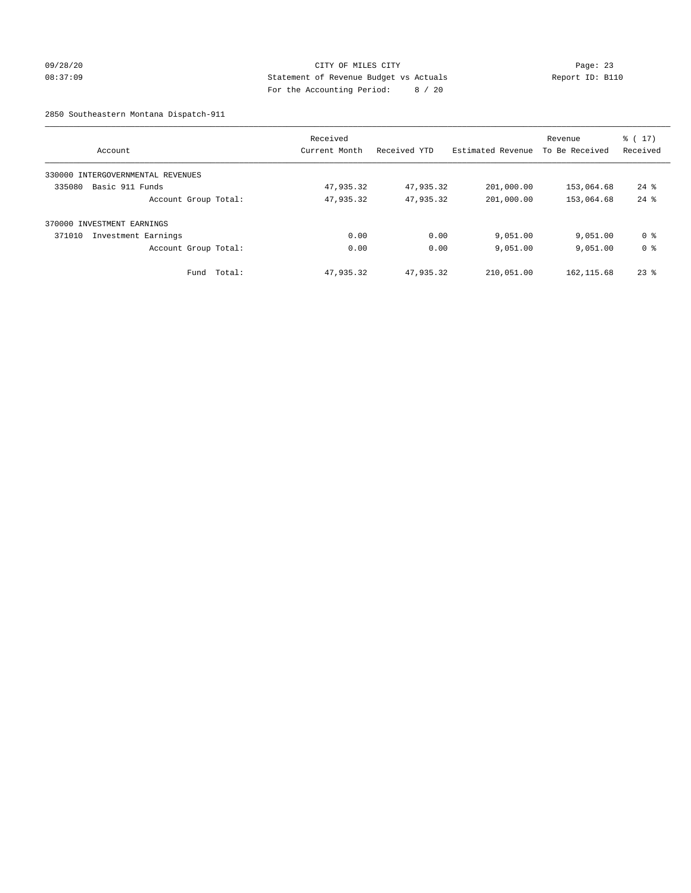## 09/28/20 Page: 23 08:37:09 Statement of Revenue Budget vs Actuals Report ID: B110 For the Accounting Period: 8 / 20

2850 Southeastern Montana Dispatch-911

| Account                              | Received<br>Current Month | Received YTD | Estimated Revenue | Revenue<br>To Be Received | $\frac{1}{6}$ ( 17 )<br>Received |
|--------------------------------------|---------------------------|--------------|-------------------|---------------------------|----------------------------------|
| INTERGOVERNMENTAL REVENUES<br>330000 |                           |              |                   |                           |                                  |
| 335080<br>Basic 911 Funds            | 47,935.32                 | 47,935.32    | 201,000.00        | 153,064.68                | $24$ %                           |
| Account Group Total:                 | 47,935.32                 | 47,935.32    | 201,000.00        | 153,064.68                | $24$ $%$                         |
| 370000 INVESTMENT EARNINGS           |                           |              |                   |                           |                                  |
| 371010<br>Investment Earnings        | 0.00                      | 0.00         | 9,051.00          | 9,051.00                  | 0 %                              |
| Account Group Total:                 | 0.00                      | 0.00         | 9,051.00          | 9,051.00                  | 0 <sup>8</sup>                   |
| Total:<br>Fund                       | 47,935.32                 | 47,935.32    | 210,051.00        | 162, 115.68               | $23$ $%$                         |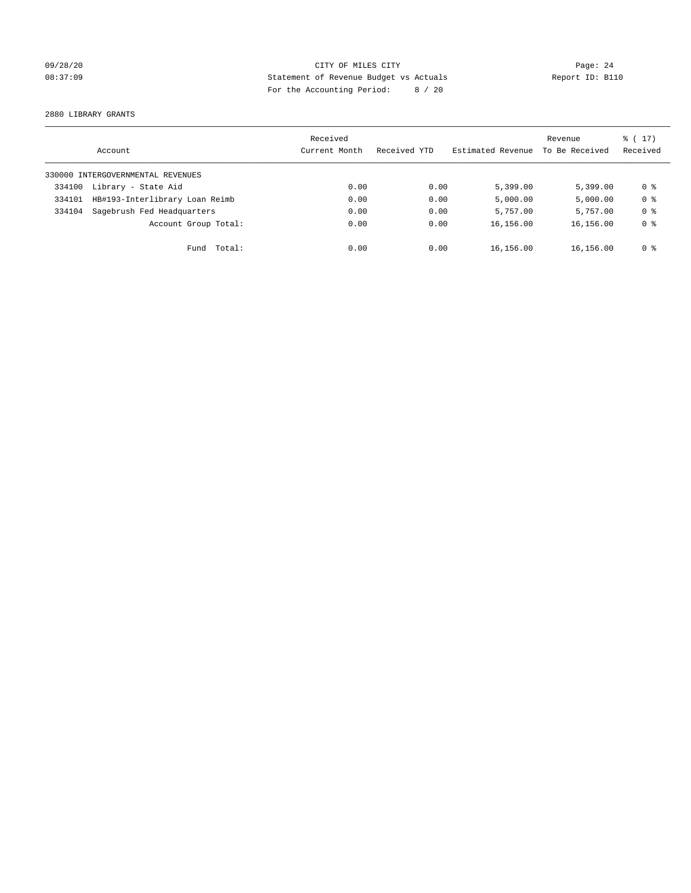## 09/28/20 Page: 24 08:37:09 Statement of Revenue Budget vs Actuals Report ID: B110 For the Accounting Period: 8 / 20

2880 LIBRARY GRANTS

|        | Account                           | Received<br>Current Month | Received YTD | Estimated Revenue | Revenue<br>To Be Received | $\frac{1}{6}$ (17)<br>Received |
|--------|-----------------------------------|---------------------------|--------------|-------------------|---------------------------|--------------------------------|
|        | 330000 INTERGOVERNMENTAL REVENUES |                           |              |                   |                           |                                |
| 334100 | Library - State Aid               | 0.00                      | 0.00         | 5,399.00          | 5.399.00                  | 0 <sup>8</sup>                 |
| 334101 | HB#193-Interlibrary Loan Reimb    | 0.00                      | 0.00         | 5,000.00          | 5,000.00                  | 0 <sup>8</sup>                 |
| 334104 | Sagebrush Fed Headquarters        | 0.00                      | 0.00         | 5,757.00          | 5,757.00                  | 0 <sup>8</sup>                 |
|        | Account Group Total:              | 0.00                      | 0.00         | 16,156.00         | 16,156.00                 | 0 <sup>8</sup>                 |
|        | Total:<br>Fund                    | 0.00                      | 0.00         | 16,156.00         | 16,156.00                 | 0 %                            |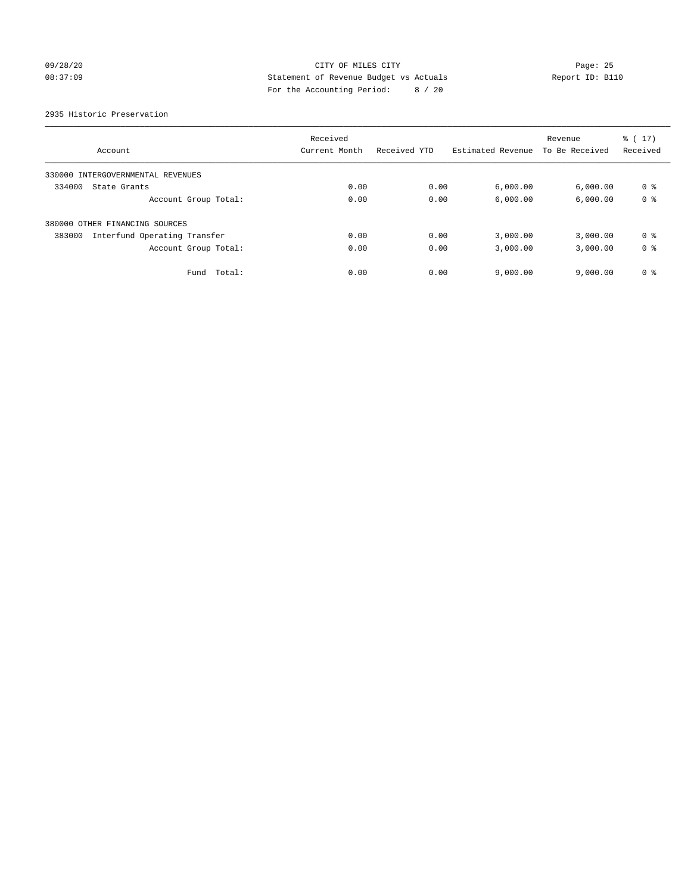## 09/28/20 Page: 25 08:37:09 Statement of Revenue Budget vs Actuals Report ID: B110 For the Accounting Period: 8 / 20

2935 Historic Preservation

|                                        | Received      |              |                   | Revenue        | $\frac{1}{6}$ ( 17) |
|----------------------------------------|---------------|--------------|-------------------|----------------|---------------------|
| Account                                | Current Month | Received YTD | Estimated Revenue | To Be Received | Received            |
| 330000 INTERGOVERNMENTAL REVENUES      |               |              |                   |                |                     |
| 334000<br>State Grants                 | 0.00          | 0.00         | 6,000.00          | 6,000.00       | 0 <sup>8</sup>      |
| Account Group Total:                   | 0.00          | 0.00         | 6,000.00          | 6,000.00       | 0 <sup>8</sup>      |
| 380000 OTHER FINANCING SOURCES         |               |              |                   |                |                     |
| Interfund Operating Transfer<br>383000 | 0.00          | 0.00         | 3,000.00          | 3,000.00       | 0 <sup>8</sup>      |
| Account Group Total:                   | 0.00          | 0.00         | 3,000.00          | 3,000.00       | 0 <sup>8</sup>      |
| Fund Total:                            | 0.00          | 0.00         | 9,000.00          | 9.000.00       | 0 <sup>8</sup>      |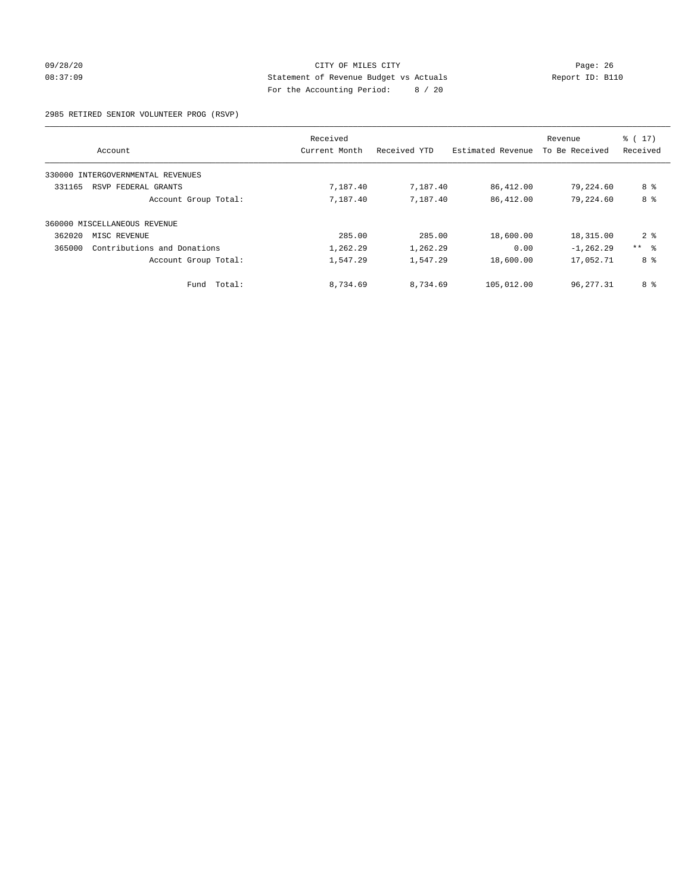## 09/28/20 Page: 26 CITY OF MILES CITY CONTROL CONTROL Page: 26 08:37:09 Statement of Revenue Budget vs Actuals Report ID: B110 For the Accounting Period: 8 / 20

2985 RETIRED SENIOR VOLUNTEER PROG (RSVP)

|        |                                   | Received      |              |                   | Revenue        | $\frac{1}{6}$ (17) |
|--------|-----------------------------------|---------------|--------------|-------------------|----------------|--------------------|
|        | Account                           | Current Month | Received YTD | Estimated Revenue | To Be Received | Received           |
|        | 330000 INTERGOVERNMENTAL REVENUES |               |              |                   |                |                    |
| 331165 | RSVP FEDERAL GRANTS               | 7,187.40      | 7,187.40     | 86,412.00         | 79,224.60      | 8 %                |
|        | Account Group Total:              | 7,187.40      | 7,187.40     | 86,412.00         | 79,224.60      | 8 %                |
|        | 360000 MISCELLANEOUS REVENUE      |               |              |                   |                |                    |
| 362020 | MISC REVENUE                      | 285.00        | 285.00       | 18,600.00         | 18,315.00      | 2 <sup>8</sup>     |
| 365000 | Contributions and Donations       | 1,262.29      | 1,262.29     | 0.00              | $-1, 262.29$   | $***$ $ -$         |
|        | Account Group Total:              | 1,547.29      | 1,547.29     | 18,600.00         | 17,052.71      | 8 %                |
|        | Total:<br>Fund                    | 8,734.69      | 8,734.69     | 105,012.00        | 96,277.31      | 8 %                |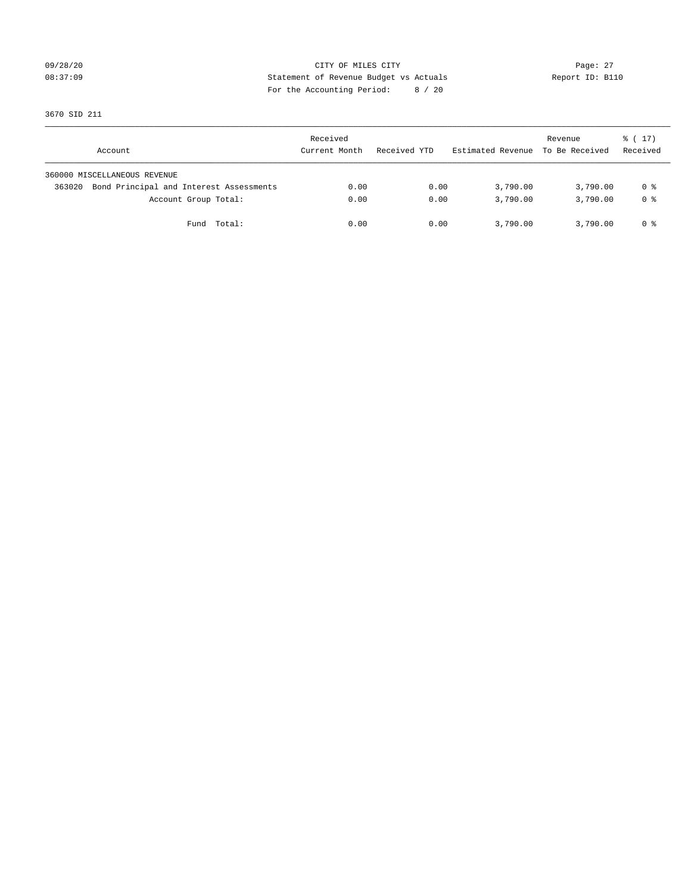## 09/28/20 Page: 27 08:37:09 Statement of Revenue Budget vs Actuals Report ID: B110 For the Accounting Period: 8 / 20

3670 SID 211

| Account                                           | Received<br>Current Month | Received YTD | Estimated Revenue | Revenue<br>To Be Received | $\frac{1}{6}$ ( 17)<br>Received |
|---------------------------------------------------|---------------------------|--------------|-------------------|---------------------------|---------------------------------|
| 360000 MISCELLANEOUS REVENUE                      |                           |              |                   |                           |                                 |
| Bond Principal and Interest Assessments<br>363020 | 0.00                      | 0.00         | 3,790.00          | 3,790.00                  | 0 %                             |
| Account Group Total:                              | 0.00                      | 0.00         | 3,790.00          | 3,790.00                  | 0 %                             |
| Fund Total:                                       | 0.00                      | 0.00         | 3,790.00          | 3,790.00                  | 0 %                             |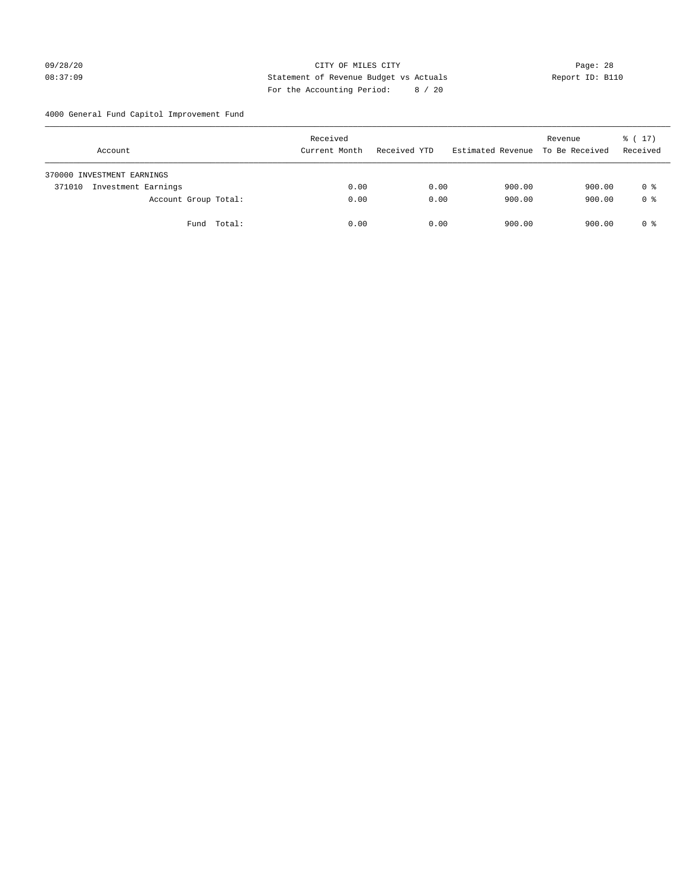## 09/28/20 Page: 28 08:37:09 Statement of Revenue Budget vs Actuals Report ID: B110 For the Accounting Period: 8 / 20

4000 General Fund Capitol Improvement Fund

| Account                       | Received<br>Current Month | Received YTD | Estimated Revenue | Revenue<br>To Be Received | $\frac{1}{6}$ ( 17)<br>Received |
|-------------------------------|---------------------------|--------------|-------------------|---------------------------|---------------------------------|
| 370000 INVESTMENT EARNINGS    |                           |              |                   |                           |                                 |
| Investment Earnings<br>371010 | 0.00                      | 0.00         | 900.00            | 900.00                    | 0 %                             |
| Account Group Total:          | 0.00                      | 0.00         | 900.00            | 900.00                    | 0 <sup>8</sup>                  |
| Fund Total:                   | 0.00                      | 0.00         | 900.00            | 900.00                    | 0 %                             |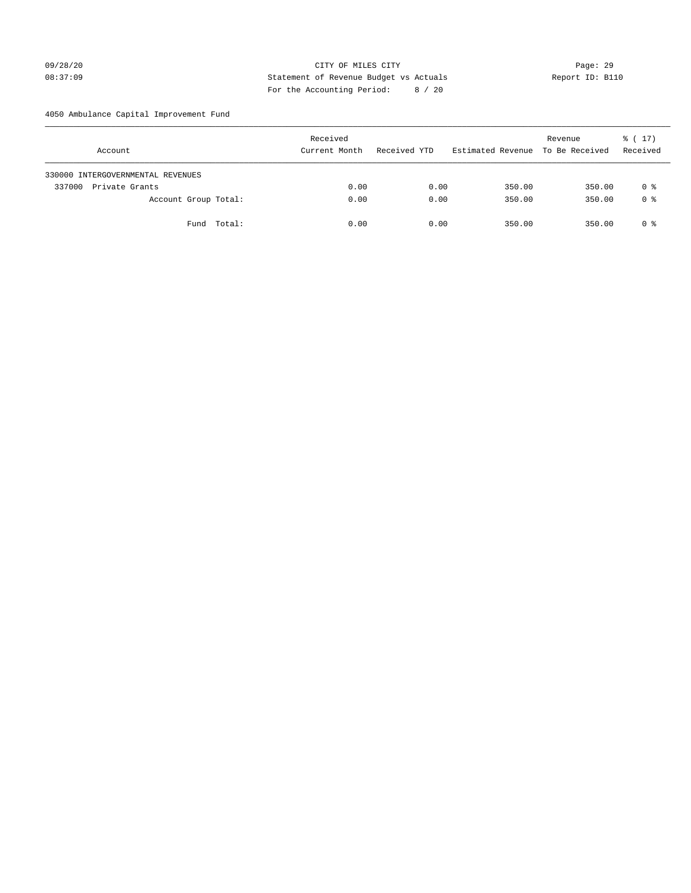## 09/28/20 Page: 29 08:37:09 Statement of Revenue Budget vs Actuals Report ID: B110 For the Accounting Period: 8 / 20

4050 Ambulance Capital Improvement Fund

| Account                           | Received<br>Current Month | Received YTD | Estimated Revenue | Revenue<br>To Be Received | $\frac{1}{6}$ ( 17)<br>Received |
|-----------------------------------|---------------------------|--------------|-------------------|---------------------------|---------------------------------|
| 330000 INTERGOVERNMENTAL REVENUES |                           |              |                   |                           |                                 |
| 337000<br>Private Grants          | 0.00                      | 0.00         | 350.00            | 350.00                    | 0 %                             |
| Account Group Total:              | 0.00                      | 0.00         | 350.00            | 350.00                    | 0 <sup>8</sup>                  |
| Fund Total:                       | 0.00                      | 0.00         | 350.00            | 350.00                    | 0 %                             |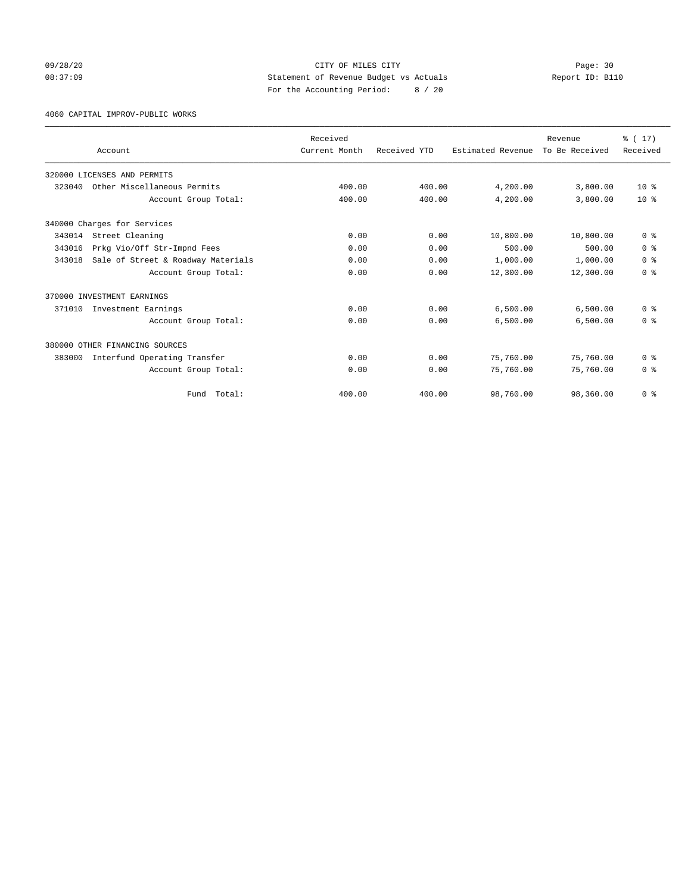## 09/28/20 Page: 30 08:37:09 Statement of Revenue Budget vs Actuals Report ID: B110 For the Accounting Period: 8 / 20

4060 CAPITAL IMPROV-PUBLIC WORKS

|        |                                    | Received      |              |                   | Revenue        | % (17)         |
|--------|------------------------------------|---------------|--------------|-------------------|----------------|----------------|
|        | Account                            | Current Month | Received YTD | Estimated Revenue | To Be Received | Received       |
|        | 320000 LICENSES AND PERMITS        |               |              |                   |                |                |
| 323040 | Other Miscellaneous Permits        | 400.00        | 400.00       | 4,200.00          | 3,800.00       | $10*$          |
|        | Account Group Total:               | 400.00        | 400.00       | 4,200.00          | 3,800.00       | $10*$          |
|        | 340000 Charges for Services        |               |              |                   |                |                |
| 343014 | Street Cleaning                    | 0.00          | 0.00         | 10,800.00         | 10,800.00      | 0 <sup>8</sup> |
| 343016 | Prkg Vio/Off Str-Impnd Fees        | 0.00          | 0.00         | 500.00            | 500.00         | 0 <sup>8</sup> |
| 343018 | Sale of Street & Roadway Materials | 0.00          | 0.00         | 1,000.00          | 1,000.00       | 0 <sup>8</sup> |
|        | Account Group Total:               | 0.00          | 0.00         | 12,300.00         | 12,300.00      | 0 <sup>8</sup> |
|        | 370000 INVESTMENT EARNINGS         |               |              |                   |                |                |
| 371010 | Investment Earnings                | 0.00          | 0.00         | 6,500.00          | 6,500.00       | 0 <sup>8</sup> |
|        | Account Group Total:               | 0.00          | 0.00         | 6,500.00          | 6,500.00       | 0 <sup>8</sup> |
|        | 380000 OTHER FINANCING SOURCES     |               |              |                   |                |                |
| 383000 | Interfund Operating Transfer       | 0.00          | 0.00         | 75,760.00         | 75,760.00      | 0 <sup>8</sup> |
|        | Account Group Total:               | 0.00          | 0.00         | 75,760.00         | 75,760.00      | 0 <sup>8</sup> |
|        | Total:<br>Fund                     | 400.00        | 400.00       | 98,760.00         | 98,360.00      | 0 <sup>8</sup> |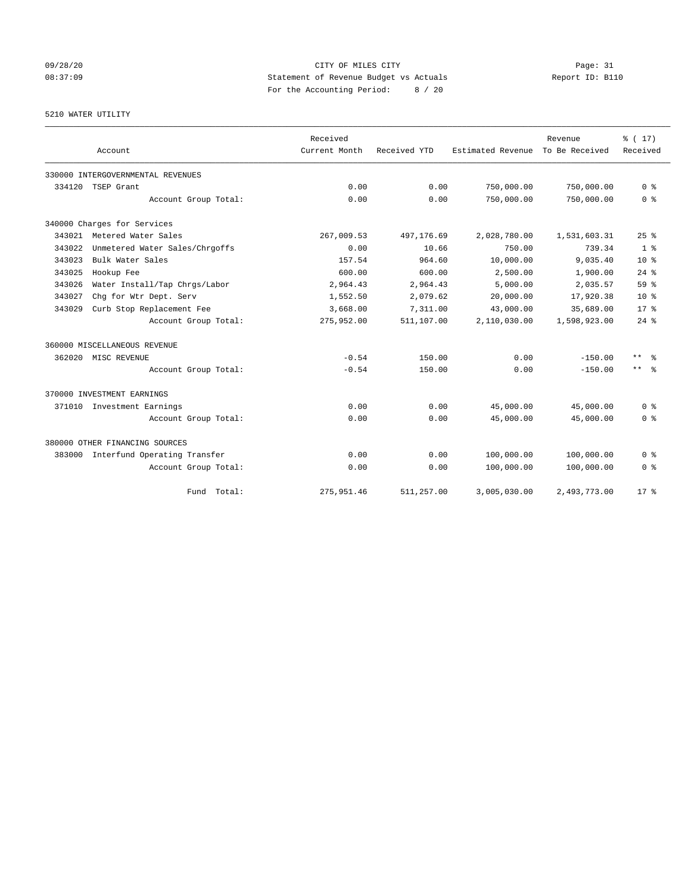## 09/28/20 Page: 31 08:37:09 Statement of Revenue Budget vs Actuals Report ID: B110 For the Accounting Period: 8 / 20

5210 WATER UTILITY

|        | Account                             | Received<br>Current Month | Received YTD | Estimated Revenue To Be Received | Revenue      | $\frac{1}{6}$ (17)<br>Received |
|--------|-------------------------------------|---------------------------|--------------|----------------------------------|--------------|--------------------------------|
|        | 330000 INTERGOVERNMENTAL REVENUES   |                           |              |                                  |              |                                |
| 334120 | TSEP Grant                          | 0.00                      | 0.00         | 750,000.00                       | 750,000.00   | 0 %                            |
|        | Account Group Total:                | 0.00                      | 0.00         | 750,000.00                       | 750,000.00   | 0 <sup>8</sup>                 |
|        | 340000 Charges for Services         |                           |              |                                  |              |                                |
| 343021 | Metered Water Sales                 | 267,009.53                | 497,176.69   | 2,028,780.00                     | 1,531,603.31 | 25%                            |
| 343022 | Unmetered Water Sales/Chrgoffs      | 0.00                      | 10.66        | 750.00                           | 739.34       | 1 <sup>8</sup>                 |
| 343023 | Bulk Water Sales                    | 157.54                    | 964.60       | 10,000.00                        | 9,035.40     | 10 <sup>8</sup>                |
| 343025 | Hookup Fee                          | 600.00                    | 600.00       | 2,500.00                         | 1,900.00     | $24$ $%$                       |
| 343026 | Water Install/Tap Chrgs/Labor       | 2,964.43                  | 2,964.43     | 5,000.00                         | 2,035.57     | 59%                            |
| 343027 | Chq for Wtr Dept. Serv              | 1,552.50                  | 2,079.62     | 20,000.00                        | 17,920.38    | 10 <sup>8</sup>                |
| 343029 | Curb Stop Replacement Fee           | 3,668.00                  | 7,311.00     | 43,000.00                        | 35,689.00    | $17*$                          |
|        | Account Group Total:                | 275,952.00                | 511,107.00   | 2,110,030.00                     | 1,598,923.00 | $24$ %                         |
|        | 360000 MISCELLANEOUS REVENUE        |                           |              |                                  |              |                                |
|        | 362020 MISC REVENUE                 | $-0.54$                   | 150.00       | 0.00                             | $-150.00$    | $***$ $%$                      |
|        | Account Group Total:                | $-0.54$                   | 150.00       | 0.00                             | $-150.00$    | $***$ $ -$                     |
|        | 370000 INVESTMENT EARNINGS          |                           |              |                                  |              |                                |
|        | 371010 Investment Earnings          | 0.00                      | 0.00         | 45,000.00                        | 45,000.00    | 0 <sup>8</sup>                 |
|        | Account Group Total:                | 0.00                      | 0.00         | 45,000.00                        | 45,000.00    | 0 <sup>8</sup>                 |
|        | 380000 OTHER FINANCING SOURCES      |                           |              |                                  |              |                                |
|        | 383000 Interfund Operating Transfer | 0.00                      | 0.00         | 100,000.00                       | 100,000.00   | 0 <sup>8</sup>                 |
|        | Account Group Total:                | 0.00                      | 0.00         | 100,000.00                       | 100,000.00   | 0 %                            |
|        | Fund Total:                         | 275,951.46                | 511,257.00   | 3,005,030.00                     | 2,493,773.00 | $17*$                          |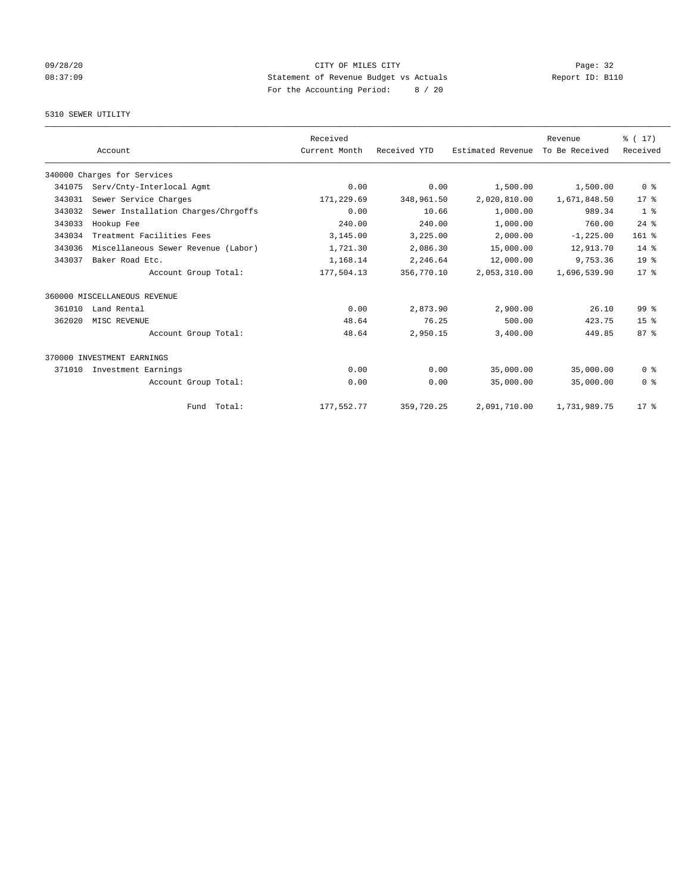## 09/28/20 Page: 32 08:37:09 Statement of Revenue Budget vs Actuals Report ID: B110 For the Accounting Period: 8 / 20

## 5310 SEWER UTILITY

|        |                                     | Received      |              |                   | Revenue        | $\frac{1}{6}$ (17) |
|--------|-------------------------------------|---------------|--------------|-------------------|----------------|--------------------|
|        | Account                             | Current Month | Received YTD | Estimated Revenue | To Be Received | Received           |
|        | 340000 Charges for Services         |               |              |                   |                |                    |
| 341075 | Serv/Cnty-Interlocal Agmt           | 0.00          | 0.00         | 1,500.00          | 1,500.00       | 0 <sup>8</sup>     |
| 343031 | Sewer Service Charges               | 171,229.69    | 348,961.50   | 2,020,810.00      | 1,671,848.50   | 17 <sup>8</sup>    |
| 343032 | Sewer Installation Charges/Chrgoffs | 0.00          | 10.66        | 1,000.00          | 989.34         | 1 <sup>8</sup>     |
| 343033 | Hookup Fee                          | 240.00        | 240.00       | 1,000.00          | 760.00         | $24$ $%$           |
| 343034 | Treatment Facilities Fees           | 3,145.00      | 3,225.00     | 2,000.00          | $-1, 225.00$   | 161 %              |
| 343036 | Miscellaneous Sewer Revenue (Labor) | 1,721.30      | 2,086.30     | 15,000.00         | 12,913.70      | 14 %               |
| 343037 | Baker Road Etc.                     | 1,168.14      | 2,246.64     | 12,000.00         | 9,753.36       | 19 <sup>°</sup>    |
|        | Account Group Total:                | 177,504.13    | 356,770.10   | 2,053,310.00      | 1,696,539.90   | $17*$              |
|        | 360000 MISCELLANEOUS REVENUE        |               |              |                   |                |                    |
| 361010 | Land Rental                         | 0.00          | 2,873.90     | 2,900.00          | 26.10          | 99 <sup>8</sup>    |
| 362020 | MISC REVENUE                        | 48.64         | 76.25        | 500.00            | 423.75         | 15 <sup>8</sup>    |
|        | Account Group Total:                | 48.64         | 2,950.15     | 3,400.00          | 449.85         | 87%                |
|        | 370000 INVESTMENT EARNINGS          |               |              |                   |                |                    |
| 371010 | Investment Earnings                 | 0.00          | 0.00         | 35,000.00         | 35,000.00      | 0 <sup>8</sup>     |
|        | Account Group Total:                | 0.00          | 0.00         | 35,000.00         | 35,000.00      | 0 <sup>8</sup>     |
|        | Fund Total:                         | 177,552.77    | 359,720.25   | 2,091,710.00      | 1,731,989.75   | $17*$              |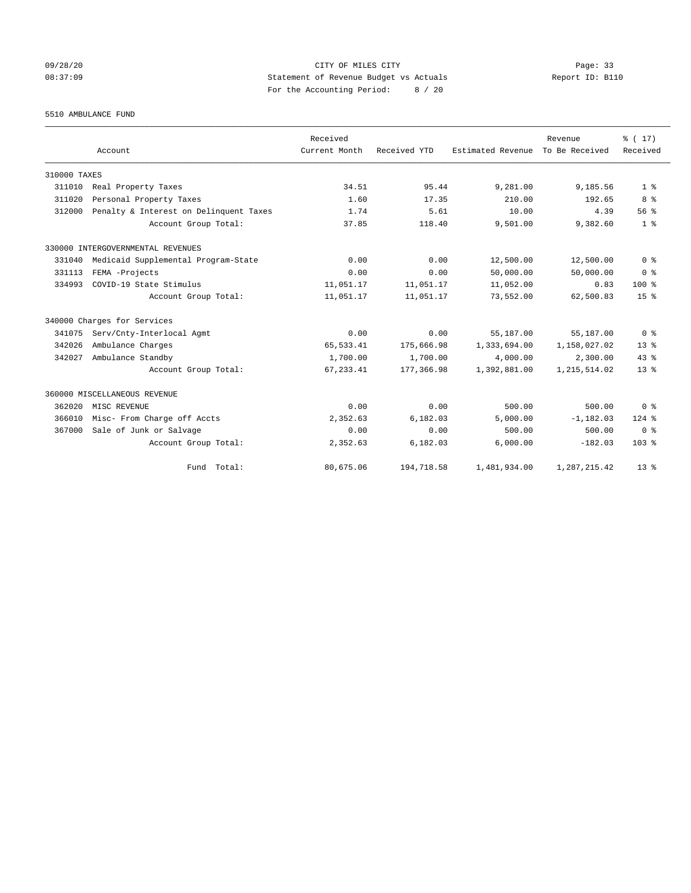## 09/28/20 Page: 33 08:37:09 Statement of Revenue Budget vs Actuals Report ID: B110 For the Accounting Period: 8 / 20

5510 AMBULANCE FUND

|              | Account                                | Received<br>Current Month | Received YTD | Estimated Revenue | Revenue<br>To Be Received | % (17)<br>Received |
|--------------|----------------------------------------|---------------------------|--------------|-------------------|---------------------------|--------------------|
| 310000 TAXES |                                        |                           |              |                   |                           |                    |
| 311010       | Real Property Taxes                    | 34.51                     | 95.44        | 9,281.00          | 9,185.56                  | 1 <sup>8</sup>     |
| 311020       | Personal Property Taxes                | 1.60                      | 17.35        | 210.00            | 192.65                    | 8 %                |
| 312000       | Penalty & Interest on Delinquent Taxes | 1.74                      | 5.61         | 10.00             | 4.39                      | 56%                |
|              | Account Group Total:                   | 37.85                     | 118.40       | 9,501.00          | 9,382.60                  | 1 <sup>8</sup>     |
|              | 330000 INTERGOVERNMENTAL REVENUES      |                           |              |                   |                           |                    |
| 331040       | Medicaid Supplemental Program-State    | 0.00                      | 0.00         | 12,500.00         | 12,500.00                 | 0 <sup>8</sup>     |
| 331113       | FEMA -Projects                         | 0.00                      | 0.00         | 50,000.00         | 50,000.00                 | 0 <sup>8</sup>     |
| 334993       | COVID-19 State Stimulus                | 11,051.17                 | 11,051.17    | 11,052.00         | 0.83                      | 100 <sub>8</sub>   |
|              | Account Group Total:                   | 11,051.17                 | 11,051.17    | 73,552.00         | 62,500.83                 | 15 <sup>8</sup>    |
|              | 340000 Charges for Services            |                           |              |                   |                           |                    |
| 341075       | Serv/Cnty-Interlocal Agmt              | 0.00                      | 0.00         | 55,187.00         | 55,187.00                 | 0 <sup>8</sup>     |
| 342026       | Ambulance Charges                      | 65, 533.41                | 175,666.98   | 1,333,694.00      | 1,158,027.02              | $13*$              |
| 342027       | Ambulance Standby                      | 1,700.00                  | 1,700.00     | 4,000.00          | 2,300.00                  | 43.8               |
|              | Account Group Total:                   | 67, 233.41                | 177,366.98   | 1,392,881.00      | 1, 215, 514.02            | 13 <sup>8</sup>    |
|              | 360000 MISCELLANEOUS REVENUE           |                           |              |                   |                           |                    |
| 362020       | MISC REVENUE                           | 0.00                      | 0.00         | 500.00            | 500.00                    | 0 <sup>8</sup>     |
| 366010       | Misc- From Charge off Accts            | 2,352.63                  | 6.182.03     | 5,000.00          | $-1, 182.03$              | $124$ $%$          |
| 367000       | Sale of Junk or Salvage                | 0.00                      | 0.00         | 500.00            | 500.00                    | 0 <sup>8</sup>     |
|              | Account Group Total:                   | 2,352.63                  | 6,182.03     | 6,000.00          | $-182.03$                 | 103 %              |
|              | Fund Total:                            | 80,675.06                 | 194,718.58   | 1,481,934.00      | 1,287,215.42              | 13 <sup>8</sup>    |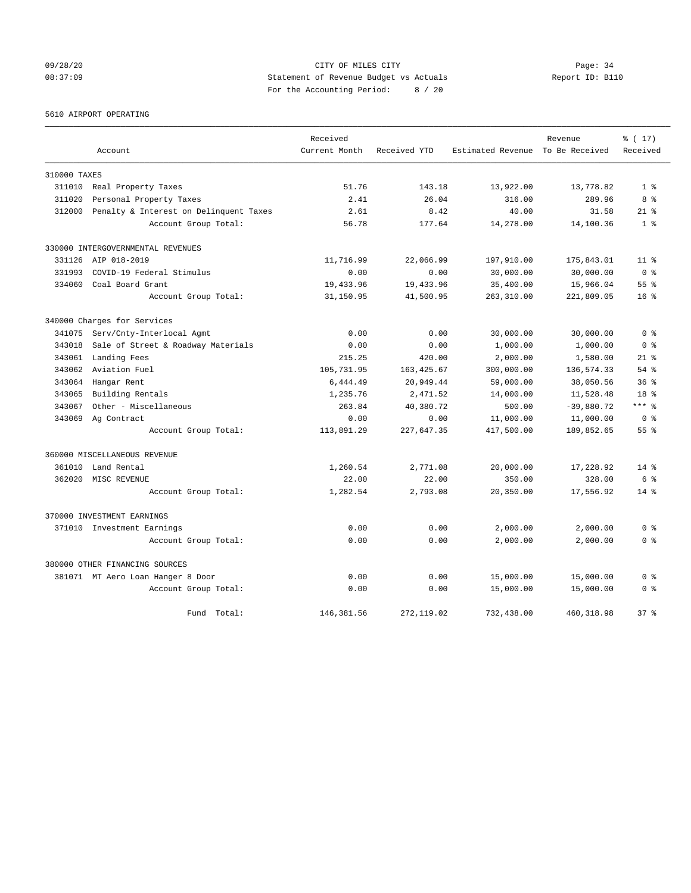09/28/20 Page: 34 08:37:09 Statement of Revenue Budget vs Actuals Report ID: B110 For the Accounting Period: 8 / 20

5610 AIRPORT OPERATING

|              |                                        | Received      |              |                                  | Revenue      | % (17)          |
|--------------|----------------------------------------|---------------|--------------|----------------------------------|--------------|-----------------|
|              | Account                                | Current Month | Received YTD | Estimated Revenue To Be Received |              | Received        |
| 310000 TAXES |                                        |               |              |                                  |              |                 |
| 311010       | Real Property Taxes                    | 51.76         | 143.18       | 13,922.00                        | 13,778.82    | 1 <sup>8</sup>  |
| 311020       | Personal Property Taxes                | 2.41          | 26.04        | 316.00                           | 289.96       | 8 %             |
| 312000       | Penalty & Interest on Delinquent Taxes | 2.61          | 8.42         | 40.00                            | 31.58        | $21*$           |
|              | Account Group Total:                   | 56.78         | 177.64       | 14,278.00                        | 14,100.36    | 1 <sup>8</sup>  |
|              | 330000 INTERGOVERNMENTAL REVENUES      |               |              |                                  |              |                 |
| 331126       | AIP 018-2019                           | 11,716.99     | 22,066.99    | 197,910.00                       | 175,843.01   | 11 <sup>8</sup> |
| 331993       | COVID-19 Federal Stimulus              | 0.00          | 0.00         | 30,000.00                        | 30,000.00    | 0 <sup>8</sup>  |
| 334060       | Coal Board Grant                       | 19,433.96     | 19,433.96    | 35,400.00                        | 15,966.04    | 55 <sup>8</sup> |
|              | Account Group Total:                   | 31,150.95     | 41,500.95    | 263,310.00                       | 221,809.05   | $16*$           |
|              | 340000 Charges for Services            |               |              |                                  |              |                 |
| 341075       | Serv/Cnty-Interlocal Agmt              | 0.00          | 0.00         | 30,000.00                        | 30,000.00    | 0 <sup>8</sup>  |
| 343018       | Sale of Street & Roadway Materials     | 0.00          | 0.00         | 1,000.00                         | 1,000.00     | 0 <sup>8</sup>  |
| 343061       | Landing Fees                           | 215.25        | 420.00       | 2,000.00                         | 1,580.00     | $21$ %          |
| 343062       | Aviation Fuel                          | 105,731.95    | 163, 425.67  | 300,000.00                       | 136,574.33   | $54$ $%$        |
| 343064       | Hangar Rent                            | 6,444.49      | 20,949.44    | 59,000.00                        | 38,050.56    | 36 <sup>8</sup> |
| 343065       | Building Rentals                       | 1,235.76      | 2,471.52     | 14,000.00                        | 11,528.48    | 18 %            |
| 343067       | Other - Miscellaneous                  | 263.84        | 40,380.72    | 500.00                           | $-39,880.72$ | $***$ $-$       |
| 343069       | Ag Contract                            | 0.00          | 0.00         | 11,000.00                        | 11,000.00    | 0 <sup>8</sup>  |
|              | Account Group Total:                   | 113,891.29    | 227,647.35   | 417,500.00                       | 189,852.65   | 55 <sup>8</sup> |
|              | 360000 MISCELLANEOUS REVENUE           |               |              |                                  |              |                 |
| 361010       | Land Rental                            | 1,260.54      | 2,771.08     | 20,000.00                        | 17,228.92    | $14*$           |
| 362020       | MISC REVENUE                           | 22.00         | 22.00        | 350.00                           | 328.00       | 6 %             |
|              | Account Group Total:                   | 1,282.54      | 2,793.08     | 20,350.00                        | 17,556.92    | $14*$           |
|              | 370000 INVESTMENT EARNINGS             |               |              |                                  |              |                 |
|              | 371010 Investment Earnings             | 0.00          | 0.00         | 2,000.00                         | 2,000.00     | 0 <sup>8</sup>  |
|              | Account Group Total:                   | 0.00          | 0.00         | 2,000.00                         | 2,000.00     | 0 <sup>8</sup>  |
|              | 380000 OTHER FINANCING SOURCES         |               |              |                                  |              |                 |
|              | 381071 MT Aero Loan Hanger 8 Door      | 0.00          | 0.00         | 15,000.00                        | 15,000.00    | 0 <sup>8</sup>  |
|              | Account Group Total:                   | 0.00          | 0.00         | 15,000.00                        | 15,000.00    | 0 <sup>8</sup>  |
|              | Fund Total:                            | 146,381.56    | 272, 119.02  | 732,438.00                       | 460, 318.98  | 37%             |